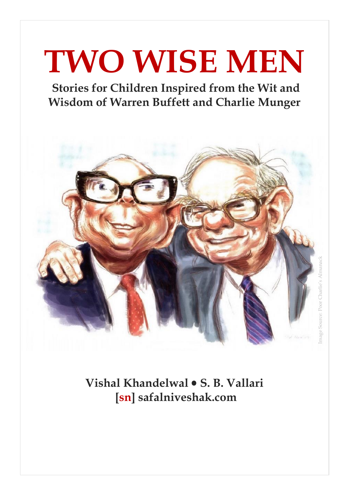# **TWO WISE MEN**

**Stories for Children Inspired from the Wit and Wisdom of Warren Buffett and Charlie Munger**



**Vishal Khandelwal S. B. Vallari [sn] safalniveshak.com**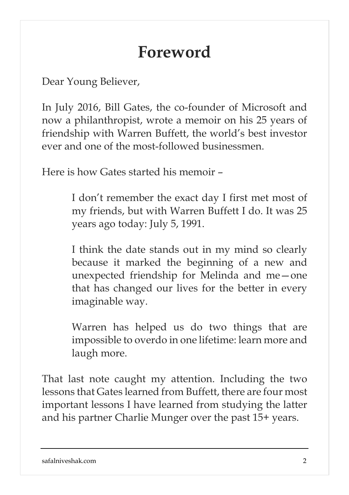### **Foreword**

Dear Young Believer,

In July 2016, Bill Gates, the co-founder of Microsoft and now a philanthropist, wrote a memoir on his 25 years of friendship with Warren Buffett, the world's best investor ever and one of the most-followed businessmen.

Here is how Gates started his memoir –

I don't remember the exact day I first met most of my friends, but with Warren Buffett I do. It was 25 years ago today: July 5, 1991.

I think the date stands out in my mind so clearly because it marked the beginning of a new and unexpected friendship for Melinda and me—one that has changed our lives for the better in every imaginable way.

Warren has helped us do two things that are impossible to overdo in one lifetime: learn more and laugh more.

That last note caught my attention. Including the two lessons that Gates learned from Buffett, there are four most important lessons I have learned from studying the latter and his partner Charlie Munger over the past 15+ years.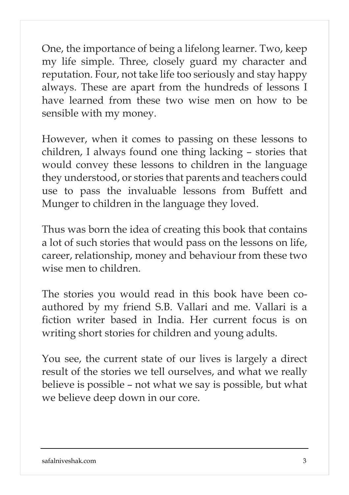One, the importance of being a lifelong learner. Two, keep my life simple. Three, closely guard my character and reputation. Four, not take life too seriously and stay happy always. These are apart from the hundreds of lessons I have learned from these two wise men on how to be sensible with my money.

However, when it comes to passing on these lessons to children, I always found one thing lacking – stories that would convey these lessons to children in the language they understood, or stories that parents and teachers could use to pass the invaluable lessons from Buffett and Munger to children in the language they loved.

Thus was born the idea of creating this book that contains a lot of such stories that would pass on the lessons on life, career, relationship, money and behaviour from these two wise men to children.

The stories you would read in this book have been coauthored by my friend S.B. Vallari and me. Vallari is a fiction writer based in India. Her current focus is on writing short stories for children and young adults.

You see, the current state of our lives is largely a direct result of the stories we tell ourselves, and what we really believe is possible – not what we say is possible, but what we believe deep down in our core.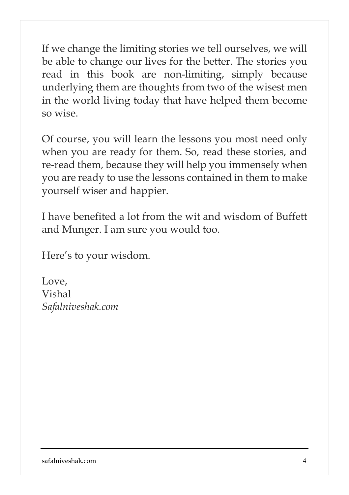If we change the limiting stories we tell ourselves, we will be able to change our lives for the better. The stories you read in this book are non-limiting, simply because underlying them are thoughts from two of the wisest men in the world living today that have helped them become so wise.

Of course, you will learn the lessons you most need only when you are ready for them. So, read these stories, and re-read them, because they will help you immensely when you are ready to use the lessons contained in them to make yourself wiser and happier.

I have benefited a lot from the wit and wisdom of Buffett and Munger. I am sure you would too.

Here's to your wisdom.

Love, Vishal *Safalniveshak.com*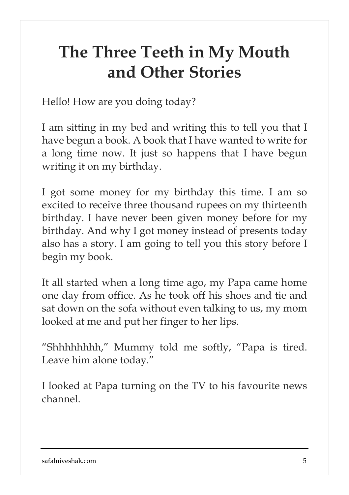### **The Three Teeth in My Mouth and Other Stories**

Hello! How are you doing today?

I am sitting in my bed and writing this to tell you that I have begun a book. A book that I have wanted to write for a long time now. It just so happens that I have begun writing it on my birthday.

I got some money for my birthday this time. I am so excited to receive three thousand rupees on my thirteenth birthday. I have never been given money before for my birthday. And why I got money instead of presents today also has a story. I am going to tell you this story before I begin my book.

It all started when a long time ago, my Papa came home one day from office. As he took off his shoes and tie and sat down on the sofa without even talking to us, my mom looked at me and put her finger to her lips.

"Shhhhhhhh," Mummy told me softly, "Papa is tired. Leave him alone today."

I looked at Papa turning on the TV to his favourite news channel.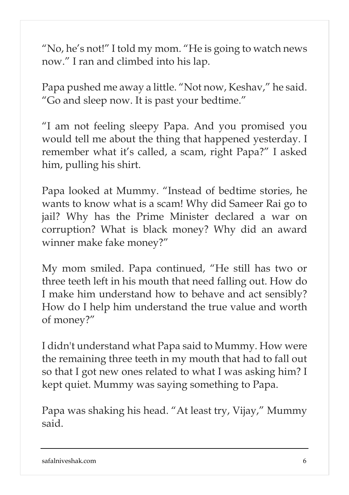"No, he's not!" I told my mom. "He is going to watch news now." I ran and climbed into his lap.

Papa pushed me away a little. "Not now, Keshav," he said. "Go and sleep now. It is past your bedtime."

"I am not feeling sleepy Papa. And you promised you would tell me about the thing that happened yesterday. I remember what it's called, a scam, right Papa?" I asked him, pulling his shirt.

Papa looked at Mummy. "Instead of bedtime stories, he wants to know what is a scam! Why did Sameer Rai go to jail? Why has the Prime Minister declared a war on corruption? What is black money? Why did an award winner make fake money?"

My mom smiled. Papa continued, "He still has two or three teeth left in his mouth that need falling out. How do I make him understand how to behave and act sensibly? How do I help him understand the true value and worth of money?"

I didn't understand what Papa said to Mummy. How were the remaining three teeth in my mouth that had to fall out so that I got new ones related to what I was asking him? I kept quiet. Mummy was saying something to Papa.

Papa was shaking his head. "At least try, Vijay," Mummy said.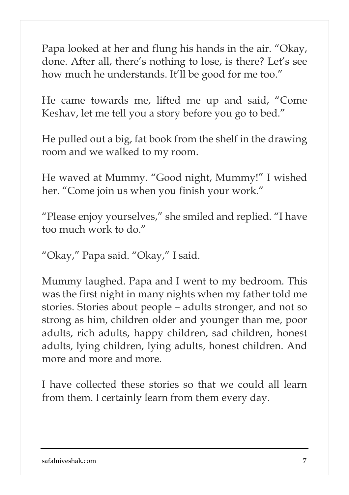Papa looked at her and flung his hands in the air. "Okay, done. After all, there's nothing to lose, is there? Let's see how much he understands. It'll be good for me too."

He came towards me, lifted me up and said, "Come Keshav, let me tell you a story before you go to bed."

He pulled out a big, fat book from the shelf in the drawing room and we walked to my room.

He waved at Mummy. "Good night, Mummy!" I wished her. "Come join us when you finish your work."

"Please enjoy yourselves," she smiled and replied. "I have too much work to do."

"Okay," Papa said. "Okay," I said.

Mummy laughed. Papa and I went to my bedroom. This was the first night in many nights when my father told me stories. Stories about people – adults stronger, and not so strong as him, children older and younger than me, poor adults, rich adults, happy children, sad children, honest adults, lying children, lying adults, honest children. And more and more and more.

I have collected these stories so that we could all learn from them. I certainly learn from them every day.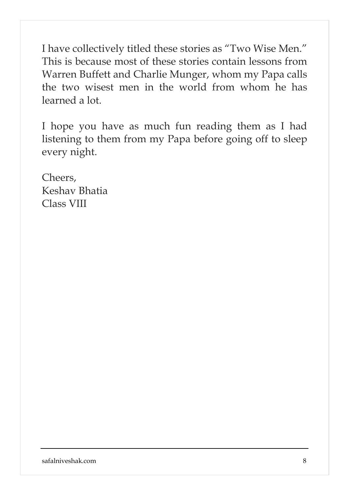I have collectively titled these stories as "Two Wise Men." This is because most of these stories contain lessons from Warren Buffett and Charlie Munger, whom my Papa calls the two wisest men in the world from whom he has learned a lot.

I hope you have as much fun reading them as I had listening to them from my Papa before going off to sleep every night.

Cheers, Keshav Bhatia Class VIII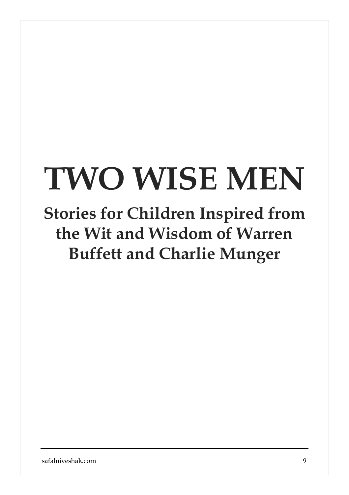# **TWO WISE MEN**

## **Stories for Children Inspired from the Wit and Wisdom of Warren Buffett and Charlie Munger**

safalniveshak.com 9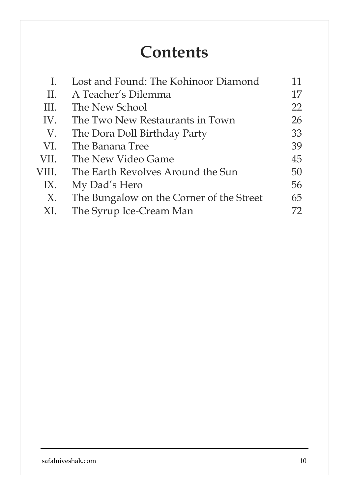### **Contents**

|       | Lost and Found: The Kohinoor Diamond     | 11  |
|-------|------------------------------------------|-----|
| Н.    | A Teacher's Dilemma                      | 17  |
| III.  | The New School                           | 22  |
| IV.   | The Two New Restaurants in Town          | 26  |
| V.    | The Dora Doll Birthday Party             | 33  |
| VI.   | The Banana Tree                          | 39  |
| VII.  | The New Video Game                       | 45  |
| VIII. | The Earth Revolves Around the Sun        | 50  |
| IX.   | My Dad's Hero                            | 56  |
| X.    | The Bungalow on the Corner of the Street | 65  |
| XI.   | The Syrup Ice-Cream Man                  | 72. |
|       |                                          |     |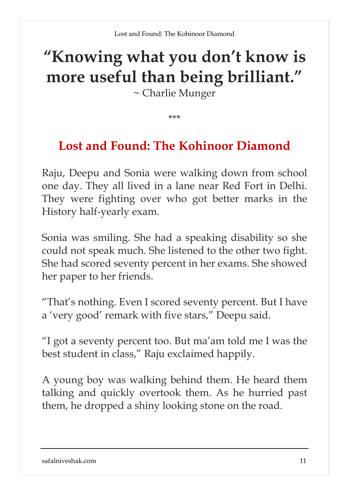# **"Knowing what you don't know is more useful than being brilliant."**

~ Charlie Munger

\*\*\*

### **Lost and Found: The Kohinoor Diamond**

Raju, Deepu and Sonia were walking down from school one day. They all lived in a lane near Red Fort in Delhi. They were fighting over who got better marks in the History half-yearly exam.

Sonia was smiling. She had a speaking disability so she could not speak much. She listened to the other two fight. She had scored seventy percent in her exams. She showed her paper to her friends.

"That's nothing. Even I scored seventy percent. But I have a 'very good' remark with five stars," Deepu said.

"I got a seventy percent too. But ma'am told me I was the best student in class," Raju exclaimed happily.

A young boy was walking behind them. He heard them talking and quickly overtook them. As he hurried past them, he dropped a shiny looking stone on the road.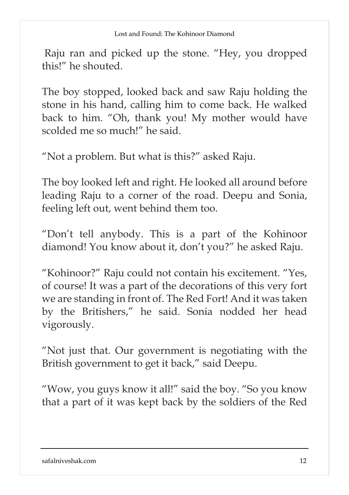Raju ran and picked up the stone. "Hey, you dropped this!" he shouted.

The boy stopped, looked back and saw Raju holding the stone in his hand, calling him to come back. He walked back to him. "Oh, thank you! My mother would have scolded me so much!" he said.

"Not a problem. But what is this?" asked Raju.

The boy looked left and right. He looked all around before leading Raju to a corner of the road. Deepu and Sonia, feeling left out, went behind them too.

"Don't tell anybody. This is a part of the Kohinoor diamond! You know about it, don't you?" he asked Raju.

"Kohinoor?" Raju could not contain his excitement. "Yes, of course! It was a part of the decorations of this very fort we are standing in front of. The Red Fort! And it was taken by the Britishers," he said. Sonia nodded her head vigorously.

"Not just that. Our government is negotiating with the British government to get it back," said Deepu.

"Wow, you guys know it all!" said the boy. "So you know that a part of it was kept back by the soldiers of the Red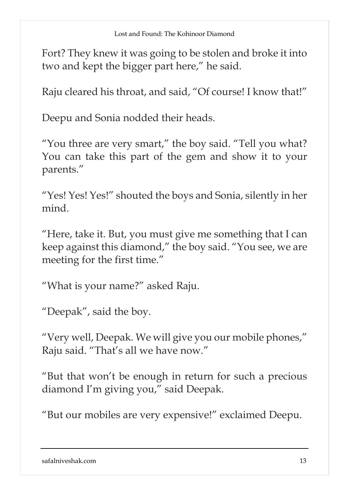Fort? They knew it was going to be stolen and broke it into two and kept the bigger part here," he said.

Raju cleared his throat, and said, "Of course! I know that!"

Deepu and Sonia nodded their heads.

"You three are very smart," the boy said. "Tell you what? You can take this part of the gem and show it to your parents."

"Yes! Yes! Yes!" shouted the boys and Sonia, silently in her mind.

"Here, take it. But, you must give me something that I can keep against this diamond," the boy said. "You see, we are meeting for the first time."

"What is your name?" asked Raju.

"Deepak", said the boy.

"Very well, Deepak. We will give you our mobile phones," Raju said. "That's all we have now."

"But that won't be enough in return for such a precious diamond I'm giving you," said Deepak.

"But our mobiles are very expensive!" exclaimed Deepu.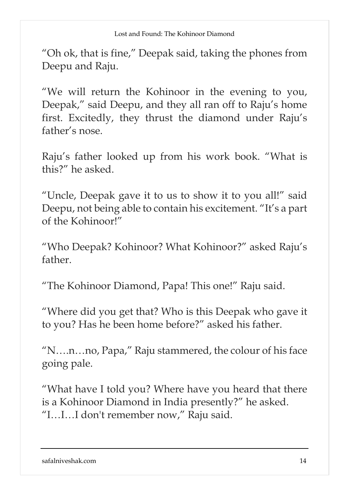"Oh ok, that is fine," Deepak said, taking the phones from Deepu and Raju.

"We will return the Kohinoor in the evening to you, Deepak," said Deepu, and they all ran off to Raju's home first. Excitedly, they thrust the diamond under Raju's father's nose.

Raju's father looked up from his work book. "What is this?" he asked.

"Uncle, Deepak gave it to us to show it to you all!" said Deepu, not being able to contain his excitement. "It's a part of the Kohinoor!"

"Who Deepak? Kohinoor? What Kohinoor?" asked Raju's father.

"The Kohinoor Diamond, Papa! This one!" Raju said.

"Where did you get that? Who is this Deepak who gave it to you? Has he been home before?" asked his father.

"N….n…no, Papa," Raju stammered, the colour of his face going pale.

"What have I told you? Where have you heard that there is a Kohinoor Diamond in India presently?" he asked. "I…I…I don't remember now," Raju said.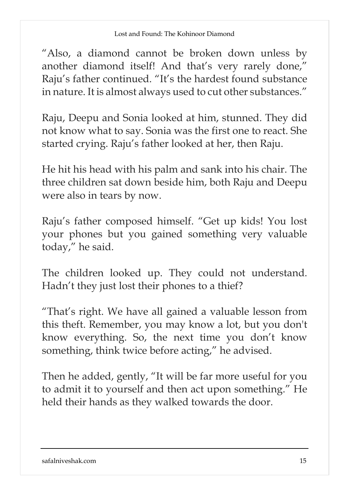"Also, a diamond cannot be broken down unless by another diamond itself! And that's very rarely done," Raju's father continued. "It's the hardest found substance in nature. It is almost always used to cut other substances."

Raju, Deepu and Sonia looked at him, stunned. They did not know what to say. Sonia was the first one to react. She started crying. Raju's father looked at her, then Raju.

He hit his head with his palm and sank into his chair. The three children sat down beside him, both Raju and Deepu were also in tears by now.

Raju's father composed himself. "Get up kids! You lost your phones but you gained something very valuable today," he said.

The children looked up. They could not understand. Hadn't they just lost their phones to a thief?

"That's right. We have all gained a valuable lesson from this theft. Remember, you may know a lot, but you don't know everything. So, the next time you don't know something, think twice before acting," he advised.

Then he added, gently, "It will be far more useful for you to admit it to yourself and then act upon something." He held their hands as they walked towards the door.

#### safalniveshak.com 15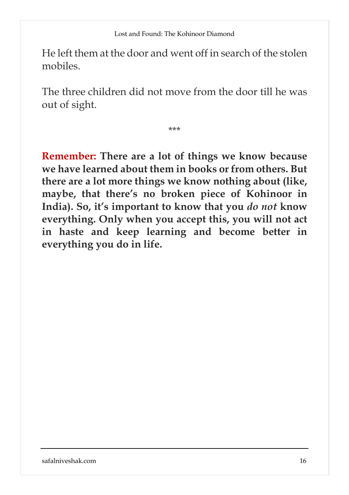He left them at the door and went off in search of the stolen mobiles.

The three children did not move from the door till he was out of sight.

\*\*\*

**Remember: There are a lot of things we know because we have learned about them in books or from others. But there are a lot more things we know nothing about (like, maybe, that there's no broken piece of Kohinoor in India). So, it's important to know that you** *do not* **know everything. Only when you accept this, you will not act in haste and keep learning and become better in everything you do in life.**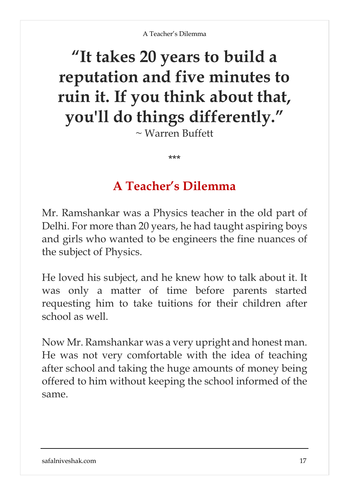# **"It takes 20 years to build a reputation and five minutes to ruin it. If you think about that, you'll do things differently."**

 $\sim$  Warren Buffett

### **A Teacher's Dilemma**

\*\*\*

Mr. Ramshankar was a Physics teacher in the old part of Delhi. For more than 20 years, he had taught aspiring boys and girls who wanted to be engineers the fine nuances of the subject of Physics.

He loved his subject, and he knew how to talk about it. It was only a matter of time before parents started requesting him to take tuitions for their children after school as well.

Now Mr. Ramshankar was a very upright and honest man. He was not very comfortable with the idea of teaching after school and taking the huge amounts of money being offered to him without keeping the school informed of the same.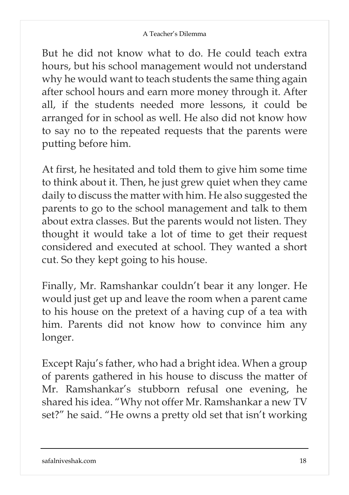But he did not know what to do. He could teach extra hours, but his school management would not understand why he would want to teach students the same thing again after school hours and earn more money through it. After all, if the students needed more lessons, it could be arranged for in school as well. He also did not know how to say no to the repeated requests that the parents were putting before him.

At first, he hesitated and told them to give him some time to think about it. Then, he just grew quiet when they came daily to discuss the matter with him. He also suggested the parents to go to the school management and talk to them about extra classes. But the parents would not listen. They thought it would take a lot of time to get their request considered and executed at school. They wanted a short cut. So they kept going to his house.

Finally, Mr. Ramshankar couldn't bear it any longer. He would just get up and leave the room when a parent came to his house on the pretext of a having cup of a tea with him. Parents did not know how to convince him any longer.

Except Raju's father, who had a bright idea. When a group of parents gathered in his house to discuss the matter of Mr. Ramshankar's stubborn refusal one evening, he shared his idea. "Why not offer Mr. Ramshankar a new TV set?" he said. "He owns a pretty old set that isn't working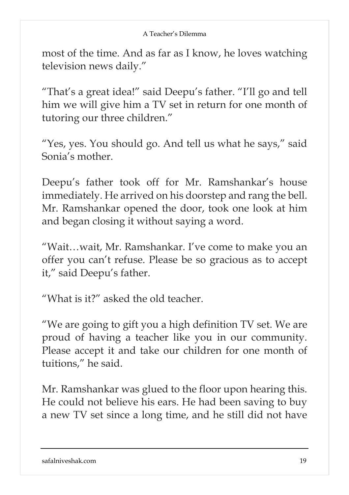most of the time. And as far as I know, he loves watching television news daily."

"That's a great idea!" said Deepu's father. "I'll go and tell him we will give him a TV set in return for one month of tutoring our three children."

"Yes, yes. You should go. And tell us what he says," said Sonia's mother.

Deepu's father took off for Mr. Ramshankar's house immediately. He arrived on his doorstep and rang the bell. Mr. Ramshankar opened the door, took one look at him and began closing it without saying a word.

"Wait…wait, Mr. Ramshankar. I've come to make you an offer you can't refuse. Please be so gracious as to accept it," said Deepu's father.

"What is it?" asked the old teacher.

"We are going to gift you a high definition TV set. We are proud of having a teacher like you in our community. Please accept it and take our children for one month of tuitions," he said.

Mr. Ramshankar was glued to the floor upon hearing this. He could not believe his ears. He had been saving to buy a new TV set since a long time, and he still did not have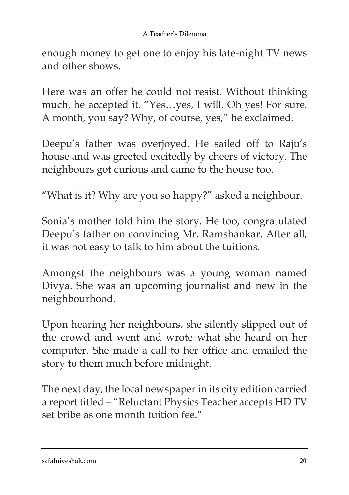enough money to get one to enjoy his late-night TV news and other shows.

Here was an offer he could not resist. Without thinking much, he accepted it. "Yes…yes, I will. Oh yes! For sure. A month, you say? Why, of course, yes," he exclaimed.

Deepu's father was overjoyed. He sailed off to Raju's house and was greeted excitedly by cheers of victory. The neighbours got curious and came to the house too.

"What is it? Why are you so happy?" asked a neighbour.

Sonia's mother told him the story. He too, congratulated Deepu's father on convincing Mr. Ramshankar. After all, it was not easy to talk to him about the tuitions.

Amongst the neighbours was a young woman named Divya. She was an upcoming journalist and new in the neighbourhood.

Upon hearing her neighbours, she silently slipped out of the crowd and went and wrote what she heard on her computer. She made a call to her office and emailed the story to them much before midnight.

The next day, the local newspaper in its city edition carried a report titled – "Reluctant Physics Teacher accepts HD TV set bribe as one month tuition fee."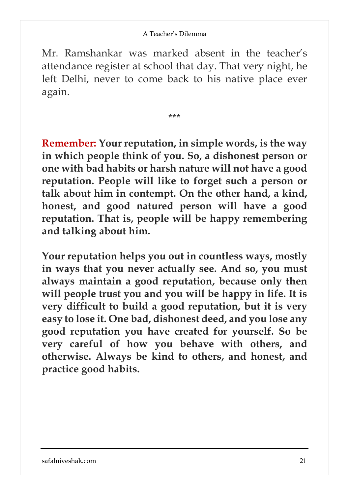Mr. Ramshankar was marked absent in the teacher's attendance register at school that day. That very night, he left Delhi, never to come back to his native place ever again.

\*\*\*

**Remember: Your reputation, in simple words, is the way in which people think of you. So, a dishonest person or one with bad habits or harsh nature will not have a good reputation. People will like to forget such a person or talk about him in contempt. On the other hand, a kind, honest, and good natured person will have a good reputation. That is, people will be happy remembering and talking about him.**

**Your reputation helps you out in countless ways, mostly in ways that you never actually see. And so, you must always maintain a good reputation, because only then will people trust you and you will be happy in life. It is very difficult to build a good reputation, but it is very easy to lose it. One bad, dishonest deed, and you lose any good reputation you have created for yourself. So be very careful of how you behave with others, and otherwise. Always be kind to others, and honest, and practice good habits.**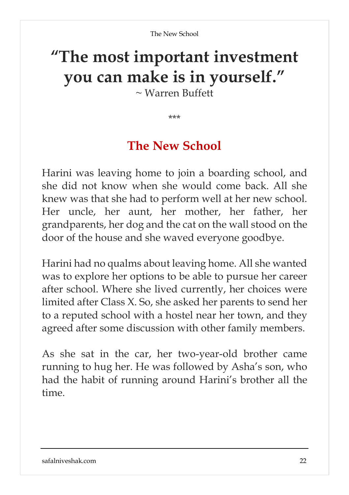# **"The most important investment you can make is in yourself."**

~ Warren Buffett

\*\*\*

### **The New School**

Harini was leaving home to join a boarding school, and she did not know when she would come back. All she knew was that she had to perform well at her new school. Her uncle, her aunt, her mother, her father, her grandparents, her dog and the cat on the wall stood on the door of the house and she waved everyone goodbye.

Harini had no qualms about leaving home. All she wanted was to explore her options to be able to pursue her career after school. Where she lived currently, her choices were limited after Class X. So, she asked her parents to send her to a reputed school with a hostel near her town, and they agreed after some discussion with other family members.

As she sat in the car, her two-year-old brother came running to hug her. He was followed by Asha's son, who had the habit of running around Harini's brother all the time.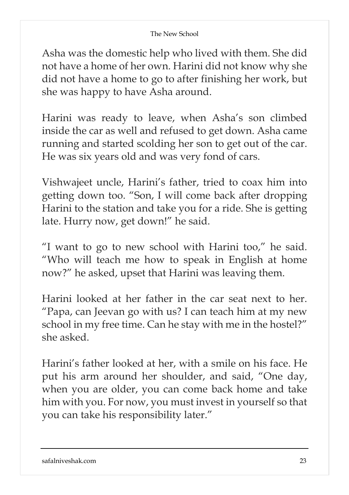#### The New School

Asha was the domestic help who lived with them. She did not have a home of her own. Harini did not know why she did not have a home to go to after finishing her work, but she was happy to have Asha around.

Harini was ready to leave, when Asha's son climbed inside the car as well and refused to get down. Asha came running and started scolding her son to get out of the car. He was six years old and was very fond of cars.

Vishwajeet uncle, Harini's father, tried to coax him into getting down too. "Son, I will come back after dropping Harini to the station and take you for a ride. She is getting late. Hurry now, get down!" he said.

"I want to go to new school with Harini too," he said. "Who will teach me how to speak in English at home now?" he asked, upset that Harini was leaving them.

Harini looked at her father in the car seat next to her. "Papa, can Jeevan go with us? I can teach him at my new school in my free time. Can he stay with me in the hostel?" she asked.

Harini's father looked at her, with a smile on his face. He put his arm around her shoulder, and said, "One day, when you are older, you can come back home and take him with you. For now, you must invest in yourself so that you can take his responsibility later."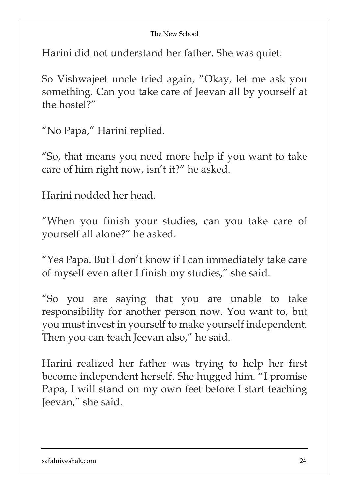#### The New School

Harini did not understand her father. She was quiet.

So Vishwajeet uncle tried again, "Okay, let me ask you something. Can you take care of Jeevan all by yourself at the hostel?"

"No Papa," Harini replied.

"So, that means you need more help if you want to take care of him right now, isn't it?" he asked.

Harini nodded her head.

"When you finish your studies, can you take care of yourself all alone?" he asked.

"Yes Papa. But I don't know if I can immediately take care of myself even after I finish my studies," she said.

"So you are saying that you are unable to take responsibility for another person now. You want to, but you must invest in yourself to make yourself independent. Then you can teach Jeevan also," he said.

Harini realized her father was trying to help her first become independent herself. She hugged him. "I promise Papa, I will stand on my own feet before I start teaching Jeevan," she said.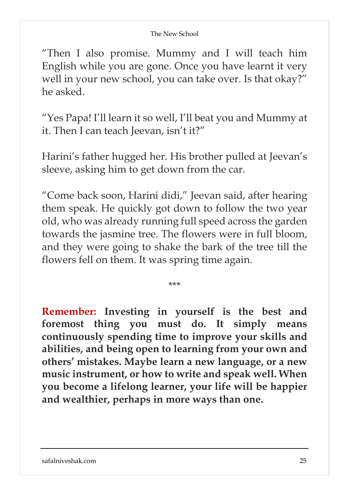#### The New School

"Then I also promise. Mummy and I will teach him English while you are gone. Once you have learnt it very well in your new school, you can take over. Is that okay?" he asked.

"Yes Papa! I'll learn it so well, I'll beat you and Mummy at it. Then I can teach Jeevan, isn't it?"

Harini's father hugged her. His brother pulled at Jeevan's sleeve, asking him to get down from the car.

"Come back soon, Harini didi," Jeevan said, after hearing them speak. He quickly got down to follow the two year old, who was already running full speed across the garden towards the jasmine tree. The flowers were in full bloom, and they were going to shake the bark of the tree till the flowers fell on them. It was spring time again.

\*\*\*

**Remember: Investing in yourself is the best and foremost thing you must do. It simply means continuously spending time to improve your skills and abilities, and being open to learning from your own and others' mistakes. Maybe learn a new language, or a new music instrument, or how to write and speak well. When you become a lifelong learner, your life will be happier and wealthier, perhaps in more ways than one.**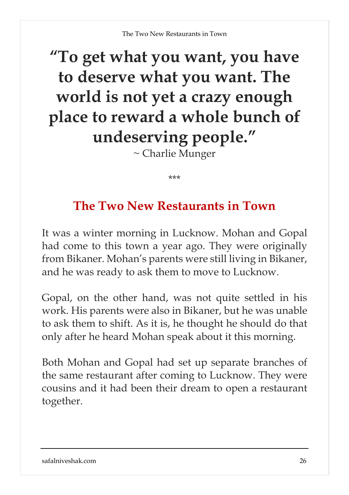# **"To get what you want, you have to deserve what you want. The world is not yet a crazy enough place to reward a whole bunch of undeserving people."**

~ Charlie Munger

\*\*\*

### **The Two New Restaurants in Town**

It was a winter morning in Lucknow. Mohan and Gopal had come to this town a year ago. They were originally from Bikaner. Mohan's parents were still living in Bikaner, and he was ready to ask them to move to Lucknow.

Gopal, on the other hand, was not quite settled in his work. His parents were also in Bikaner, but he was unable to ask them to shift. As it is, he thought he should do that only after he heard Mohan speak about it this morning.

Both Mohan and Gopal had set up separate branches of the same restaurant after coming to Lucknow. They were cousins and it had been their dream to open a restaurant together.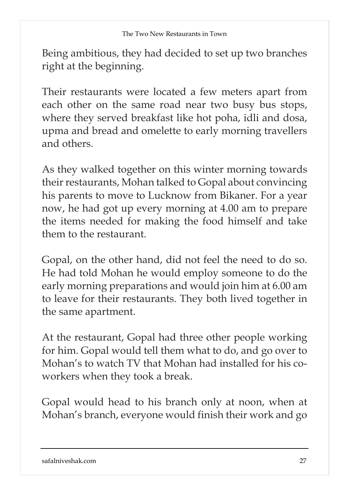Being ambitious, they had decided to set up two branches right at the beginning.

Their restaurants were located a few meters apart from each other on the same road near two busy bus stops, where they served breakfast like hot poha, idli and dosa, upma and bread and omelette to early morning travellers and others.

As they walked together on this winter morning towards their restaurants, Mohan talked to Gopal about convincing his parents to move to Lucknow from Bikaner. For a year now, he had got up every morning at 4.00 am to prepare the items needed for making the food himself and take them to the restaurant.

Gopal, on the other hand, did not feel the need to do so. He had told Mohan he would employ someone to do the early morning preparations and would join him at 6.00 am to leave for their restaurants. They both lived together in the same apartment.

At the restaurant, Gopal had three other people working for him. Gopal would tell them what to do, and go over to Mohan's to watch TV that Mohan had installed for his coworkers when they took a break.

Gopal would head to his branch only at noon, when at Mohan's branch, everyone would finish their work and go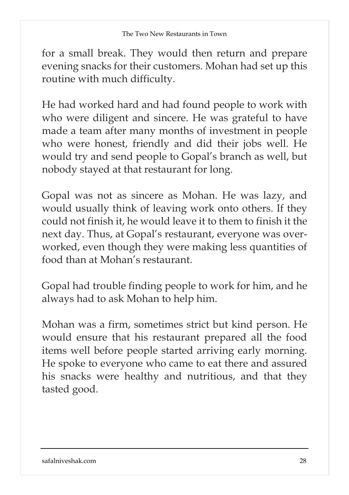for a small break. They would then return and prepare evening snacks for their customers. Mohan had set up this routine with much difficulty.

He had worked hard and had found people to work with who were diligent and sincere. He was grateful to have made a team after many months of investment in people who were honest, friendly and did their jobs well. He would try and send people to Gopal's branch as well, but nobody stayed at that restaurant for long.

Gopal was not as sincere as Mohan. He was lazy, and would usually think of leaving work onto others. If they could not finish it, he would leave it to them to finish it the next day. Thus, at Gopal's restaurant, everyone was overworked, even though they were making less quantities of food than at Mohan's restaurant.

Gopal had trouble finding people to work for him, and he always had to ask Mohan to help him.

Mohan was a firm, sometimes strict but kind person. He would ensure that his restaurant prepared all the food items well before people started arriving early morning. He spoke to everyone who came to eat there and assured his snacks were healthy and nutritious, and that they tasted good.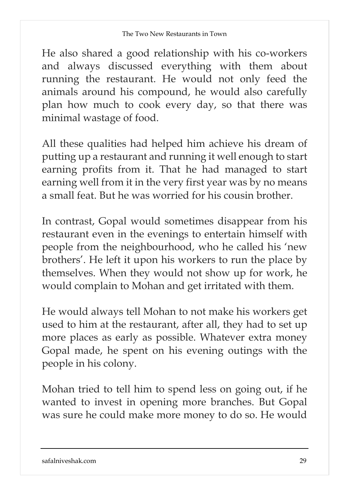He also shared a good relationship with his co-workers and always discussed everything with them about running the restaurant. He would not only feed the animals around his compound, he would also carefully plan how much to cook every day, so that there was minimal wastage of food.

All these qualities had helped him achieve his dream of putting up a restaurant and running it well enough to start earning profits from it. That he had managed to start earning well from it in the very first year was by no means a small feat. But he was worried for his cousin brother.

In contrast, Gopal would sometimes disappear from his restaurant even in the evenings to entertain himself with people from the neighbourhood, who he called his 'new brothers'. He left it upon his workers to run the place by themselves. When they would not show up for work, he would complain to Mohan and get irritated with them.

He would always tell Mohan to not make his workers get used to him at the restaurant, after all, they had to set up more places as early as possible. Whatever extra money Gopal made, he spent on his evening outings with the people in his colony.

Mohan tried to tell him to spend less on going out, if he wanted to invest in opening more branches. But Gopal was sure he could make more money to do so. He would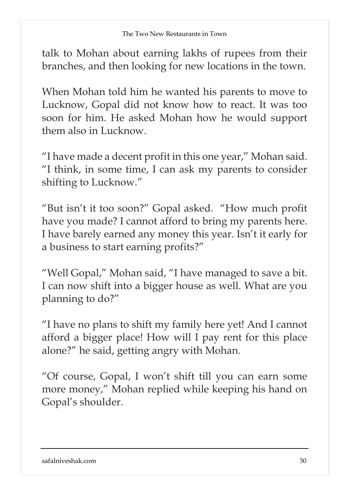talk to Mohan about earning lakhs of rupees from their branches, and then looking for new locations in the town.

When Mohan told him he wanted his parents to move to Lucknow, Gopal did not know how to react. It was too soon for him. He asked Mohan how he would support them also in Lucknow.

"I have made a decent profit in this one year," Mohan said. "I think, in some time, I can ask my parents to consider shifting to Lucknow."

"But isn't it too soon?" Gopal asked. "How much profit have you made? I cannot afford to bring my parents here. I have barely earned any money this year. Isn't it early for a business to start earning profits?"

"Well Gopal," Mohan said, "I have managed to save a bit. I can now shift into a bigger house as well. What are you planning to do?"

"I have no plans to shift my family here yet! And I cannot afford a bigger place! How will I pay rent for this place alone?" he said, getting angry with Mohan.

"Of course, Gopal, I won't shift till you can earn some more money," Mohan replied while keeping his hand on Gopal's shoulder.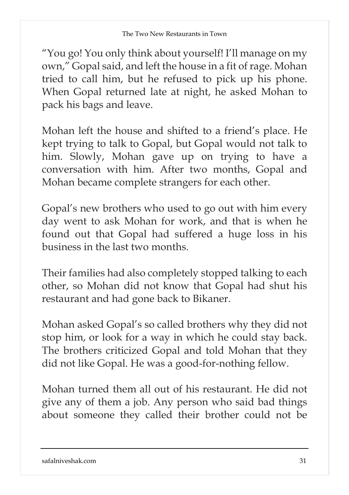"You go! You only think about yourself! I'll manage on my own," Gopal said, and left the house in a fit of rage. Mohan tried to call him, but he refused to pick up his phone. When Gopal returned late at night, he asked Mohan to pack his bags and leave.

Mohan left the house and shifted to a friend's place. He kept trying to talk to Gopal, but Gopal would not talk to him. Slowly, Mohan gave up on trying to have a conversation with him. After two months, Gopal and Mohan became complete strangers for each other.

Gopal's new brothers who used to go out with him every day went to ask Mohan for work, and that is when he found out that Gopal had suffered a huge loss in his business in the last two months.

Their families had also completely stopped talking to each other, so Mohan did not know that Gopal had shut his restaurant and had gone back to Bikaner.

Mohan asked Gopal's so called brothers why they did not stop him, or look for a way in which he could stay back. The brothers criticized Gopal and told Mohan that they did not like Gopal. He was a good-for-nothing fellow.

Mohan turned them all out of his restaurant. He did not give any of them a job. Any person who said bad things about someone they called their brother could not be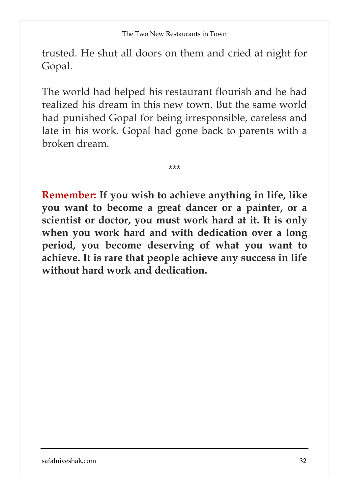trusted. He shut all doors on them and cried at night for Gopal.

The world had helped his restaurant flourish and he had realized his dream in this new town. But the same world had punished Gopal for being irresponsible, careless and late in his work. Gopal had gone back to parents with a broken dream.

\*\*\*

**Remember: If you wish to achieve anything in life, like you want to become a great dancer or a painter, or a scientist or doctor, you must work hard at it. It is only when you work hard and with dedication over a long period, you become deserving of what you want to achieve. It is rare that people achieve any success in life without hard work and dedication.**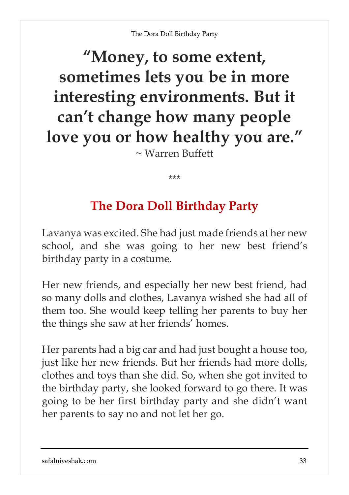### **"Money, to some extent, sometimes lets you be in more interesting environments. But it can't change how many people love you or how healthy you are."** ~ Warren Buffett

\*\*\*

### **The Dora Doll Birthday Party**

Lavanya was excited. She had just made friends at her new school, and she was going to her new best friend's birthday party in a costume.

Her new friends, and especially her new best friend, had so many dolls and clothes, Lavanya wished she had all of them too. She would keep telling her parents to buy her the things she saw at her friends' homes.

Her parents had a big car and had just bought a house too, just like her new friends. But her friends had more dolls, clothes and toys than she did. So, when she got invited to the birthday party, she looked forward to go there. It was going to be her first birthday party and she didn't want her parents to say no and not let her go.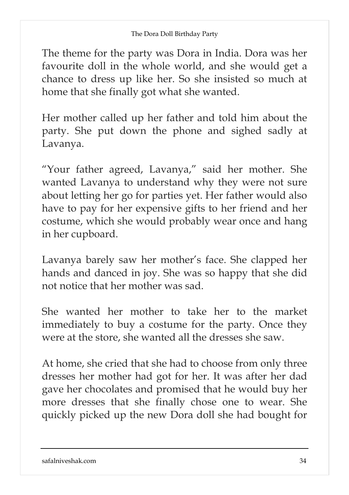The theme for the party was Dora in India. Dora was her favourite doll in the whole world, and she would get a chance to dress up like her. So she insisted so much at home that she finally got what she wanted.

Her mother called up her father and told him about the party. She put down the phone and sighed sadly at Lavanya.

"Your father agreed, Lavanya," said her mother. She wanted Lavanya to understand why they were not sure about letting her go for parties yet. Her father would also have to pay for her expensive gifts to her friend and her costume, which she would probably wear once and hang in her cupboard.

Lavanya barely saw her mother's face. She clapped her hands and danced in joy. She was so happy that she did not notice that her mother was sad.

She wanted her mother to take her to the market immediately to buy a costume for the party. Once they were at the store, she wanted all the dresses she saw.

At home, she cried that she had to choose from only three dresses her mother had got for her. It was after her dad gave her chocolates and promised that he would buy her more dresses that she finally chose one to wear. She quickly picked up the new Dora doll she had bought for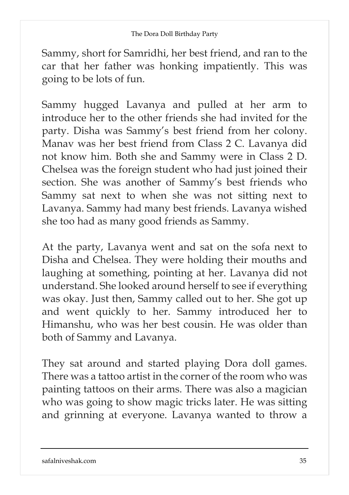Sammy, short for Samridhi, her best friend, and ran to the car that her father was honking impatiently. This was going to be lots of fun.

Sammy hugged Lavanya and pulled at her arm to introduce her to the other friends she had invited for the party. Disha was Sammy's best friend from her colony. Manav was her best friend from Class 2 C. Lavanya did not know him. Both she and Sammy were in Class 2 D. Chelsea was the foreign student who had just joined their section. She was another of Sammy's best friends who Sammy sat next to when she was not sitting next to Lavanya. Sammy had many best friends. Lavanya wished she too had as many good friends as Sammy.

At the party, Lavanya went and sat on the sofa next to Disha and Chelsea. They were holding their mouths and laughing at something, pointing at her. Lavanya did not understand. She looked around herself to see if everything was okay. Just then, Sammy called out to her. She got up and went quickly to her. Sammy introduced her to Himanshu, who was her best cousin. He was older than both of Sammy and Lavanya.

They sat around and started playing Dora doll games. There was a tattoo artist in the corner of the room who was painting tattoos on their arms. There was also a magician who was going to show magic tricks later. He was sitting and grinning at everyone. Lavanya wanted to throw a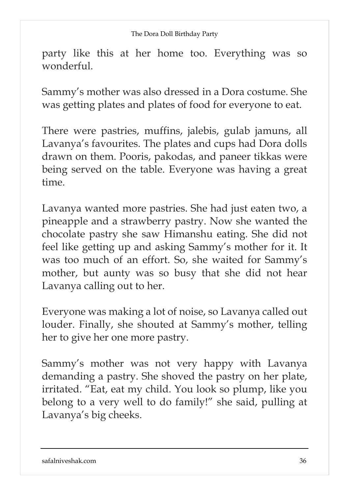party like this at her home too. Everything was so wonderful.

Sammy's mother was also dressed in a Dora costume. She was getting plates and plates of food for everyone to eat.

There were pastries, muffins, jalebis, gulab jamuns, all Lavanya's favourites. The plates and cups had Dora dolls drawn on them. Pooris, pakodas, and paneer tikkas were being served on the table. Everyone was having a great time.

Lavanya wanted more pastries. She had just eaten two, a pineapple and a strawberry pastry. Now she wanted the chocolate pastry she saw Himanshu eating. She did not feel like getting up and asking Sammy's mother for it. It was too much of an effort. So, she waited for Sammy's mother, but aunty was so busy that she did not hear Lavanya calling out to her.

Everyone was making a lot of noise, so Lavanya called out louder. Finally, she shouted at Sammy's mother, telling her to give her one more pastry.

Sammy's mother was not very happy with Lavanya demanding a pastry. She shoved the pastry on her plate, irritated. "Eat, eat my child. You look so plump, like you belong to a very well to do family!" she said, pulling at Lavanya's big cheeks.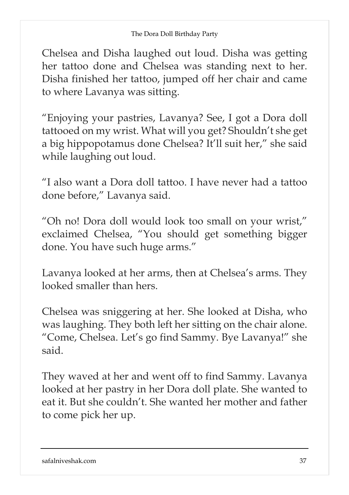Chelsea and Disha laughed out loud. Disha was getting her tattoo done and Chelsea was standing next to her. Disha finished her tattoo, jumped off her chair and came to where Lavanya was sitting.

"Enjoying your pastries, Lavanya? See, I got a Dora doll tattooed on my wrist. What will you get? Shouldn't she get a big hippopotamus done Chelsea? It'll suit her," she said while laughing out loud.

"I also want a Dora doll tattoo. I have never had a tattoo done before," Lavanya said.

"Oh no! Dora doll would look too small on your wrist," exclaimed Chelsea, "You should get something bigger done. You have such huge arms."

Lavanya looked at her arms, then at Chelsea's arms. They looked smaller than hers.

Chelsea was sniggering at her. She looked at Disha, who was laughing. They both left her sitting on the chair alone. "Come, Chelsea. Let's go find Sammy. Bye Lavanya!" she said.

They waved at her and went off to find Sammy. Lavanya looked at her pastry in her Dora doll plate. She wanted to eat it. But she couldn't. She wanted her mother and father to come pick her up.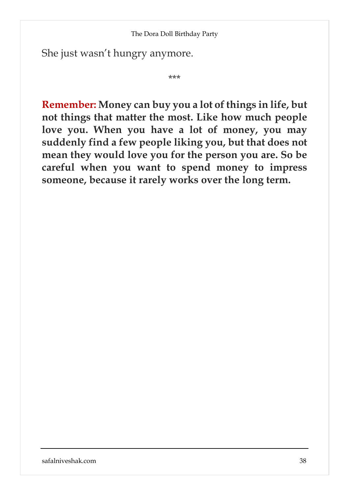She just wasn't hungry anymore.

\*\*\*

**Remember: Money can buy you a lot ofthings in life, but not things that matter the most. Like how much people love you. When you have a lot of money, you may suddenly find a few people liking you, but that does not mean they would love you for the person you are. So be careful when you want to spend money to impress someone, because it rarely works over the long term.**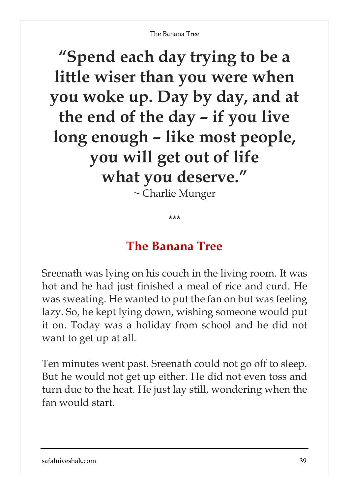**"Spend each day trying to be a little wiser than you were when you woke up. Day by day, and at the end of the day – if you live long enough – like most people, you will get out of life what you deserve."**

~ Charlie Munger

\*\*\*

## **The Banana Tree**

Sreenath was lying on his couch in the living room. It was hot and he had just finished a meal of rice and curd. He was sweating. He wanted to put the fan on but was feeling lazy. So, he kept lying down, wishing someone would put it on. Today was a holiday from school and he did not want to get up at all.

Ten minutes went past. Sreenath could not go off to sleep. But he would not get up either. He did not even toss and turn due to the heat. He just lay still, wondering when the fan would start.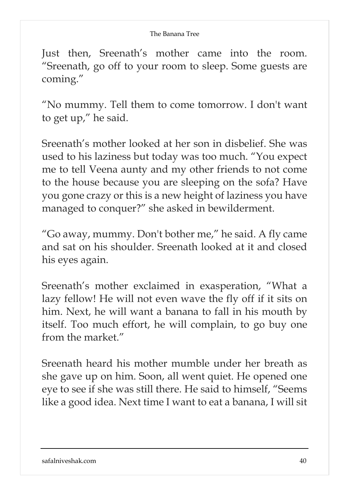Just then, Sreenath's mother came into the room. "Sreenath, go off to your room to sleep. Some guests are coming."

"No mummy. Tell them to come tomorrow. I don't want to get up," he said.

Sreenath's mother looked at her son in disbelief. She was used to his laziness but today was too much. "You expect me to tell Veena aunty and my other friends to not come to the house because you are sleeping on the sofa? Have you gone crazy or this is a new height of laziness you have managed to conquer?" she asked in bewilderment.

"Go away, mummy. Don't bother me," he said. A fly came and sat on his shoulder. Sreenath looked at it and closed his eyes again.

Sreenath's mother exclaimed in exasperation, "What a lazy fellow! He will not even wave the fly off if it sits on him. Next, he will want a banana to fall in his mouth by itself. Too much effort, he will complain, to go buy one from the market."

Sreenath heard his mother mumble under her breath as she gave up on him. Soon, all went quiet. He opened one eye to see if she was still there. He said to himself, "Seems like a good idea. Next time I want to eat a banana, I will sit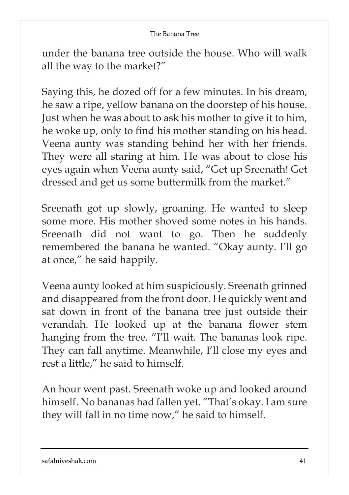under the banana tree outside the house. Who will walk all the way to the market?"

Saying this, he dozed off for a few minutes. In his dream, he saw a ripe, yellow banana on the doorstep of his house. Just when he was about to ask his mother to give it to him, he woke up, only to find his mother standing on his head. Veena aunty was standing behind her with her friends. They were all staring at him. He was about to close his eyes again when Veena aunty said, "Get up Sreenath! Get dressed and get us some buttermilk from the market."

Sreenath got up slowly, groaning. He wanted to sleep some more. His mother shoved some notes in his hands. Sreenath did not want to go. Then he suddenly remembered the banana he wanted. "Okay aunty. I'll go at once," he said happily.

Veena aunty looked at him suspiciously. Sreenath grinned and disappeared from the front door. He quickly went and sat down in front of the banana tree just outside their verandah. He looked up at the banana flower stem hanging from the tree. "I'll wait. The bananas look ripe. They can fall anytime. Meanwhile, I'll close my eyes and rest a little," he said to himself.

An hour went past. Sreenath woke up and looked around himself. No bananas had fallen yet. "That's okay. I am sure they will fall in no time now," he said to himself.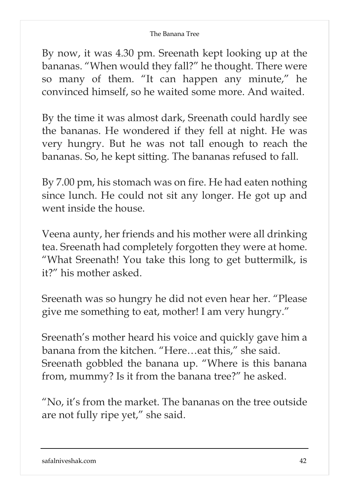By now, it was 4.30 pm. Sreenath kept looking up at the bananas. "When would they fall?" he thought. There were so many of them. "It can happen any minute," he convinced himself, so he waited some more. And waited.

By the time it was almost dark, Sreenath could hardly see the bananas. He wondered if they fell at night. He was very hungry. But he was not tall enough to reach the bananas. So, he kept sitting. The bananas refused to fall.

By 7.00 pm, his stomach was on fire. He had eaten nothing since lunch. He could not sit any longer. He got up and went inside the house.

Veena aunty, her friends and his mother were all drinking tea. Sreenath had completely forgotten they were at home. "What Sreenath! You take this long to get buttermilk, is it?" his mother asked.

Sreenath was so hungry he did not even hear her. "Please give me something to eat, mother! I am very hungry."

Sreenath's mother heard his voice and quickly gave him a banana from the kitchen. "Here…eat this," she said. Sreenath gobbled the banana up. "Where is this banana from, mummy? Is it from the banana tree?" he asked.

"No, it's from the market. The bananas on the tree outside are not fully ripe yet," she said.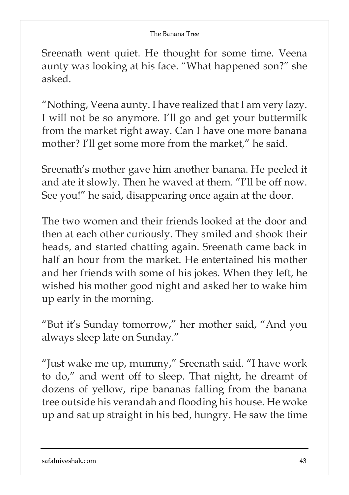Sreenath went quiet. He thought for some time. Veena aunty was looking at his face. "What happened son?" she asked.

"Nothing, Veena aunty. I have realized that I am very lazy. I will not be so anymore. I'll go and get your buttermilk from the market right away. Can I have one more banana mother? I'll get some more from the market," he said.

Sreenath's mother gave him another banana. He peeled it and ate it slowly. Then he waved at them. "I'll be off now. See you!" he said, disappearing once again at the door.

The two women and their friends looked at the door and then at each other curiously. They smiled and shook their heads, and started chatting again. Sreenath came back in half an hour from the market. He entertained his mother and her friends with some of his jokes. When they left, he wished his mother good night and asked her to wake him up early in the morning.

"But it's Sunday tomorrow," her mother said, "And you always sleep late on Sunday."

"Just wake me up, mummy," Sreenath said. "I have work to do," and went off to sleep. That night, he dreamt of dozens of yellow, ripe bananas falling from the banana tree outside his verandah and flooding his house. He woke up and sat up straight in his bed, hungry. He saw the time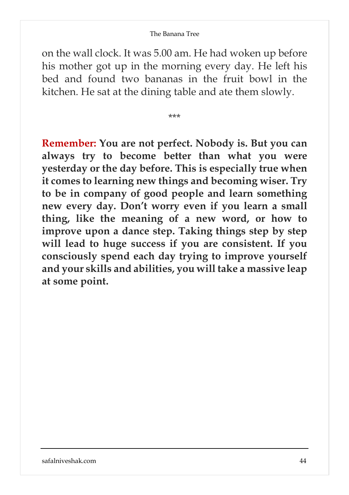on the wall clock. It was 5.00 am. He had woken up before his mother got up in the morning every day. He left his bed and found two bananas in the fruit bowl in the kitchen. He sat at the dining table and ate them slowly.

\*\*\*

**Remember: You are not perfect. Nobody is. But you can always try to become better than what you were yesterday or the day before. This is especially true when it comes to learning new things and becoming wiser. Try to be in company of good people and learn something new every day. Don't worry even if you learn a small thing, like the meaning of a new word, or how to improve upon a dance step. Taking things step by step will lead to huge success if you are consistent. If you consciously spend each day trying to improve yourself and your skills and abilities, you will take a massive leap at some point.**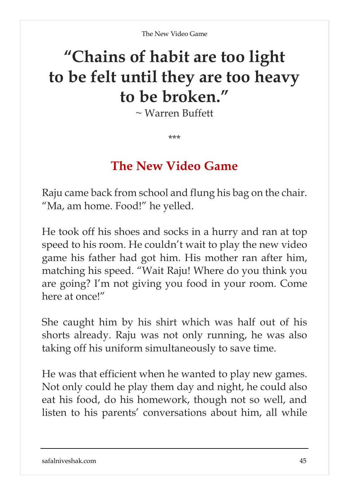## **"Chains of habit are too light to be felt until they are too heavy to be broken."**

~ Warren Buffett

\*\*\*

### **The New Video Game**

Raju came back from school and flung his bag on the chair. "Ma, am home. Food!" he yelled.

He took off his shoes and socks in a hurry and ran at top speed to his room. He couldn't wait to play the new video game his father had got him. His mother ran after him, matching his speed. "Wait Raju! Where do you think you are going? I'm not giving you food in your room. Come here at once!"

She caught him by his shirt which was half out of his shorts already. Raju was not only running, he was also taking off his uniform simultaneously to save time.

He was that efficient when he wanted to play new games. Not only could he play them day and night, he could also eat his food, do his homework, though not so well, and listen to his parents' conversations about him, all while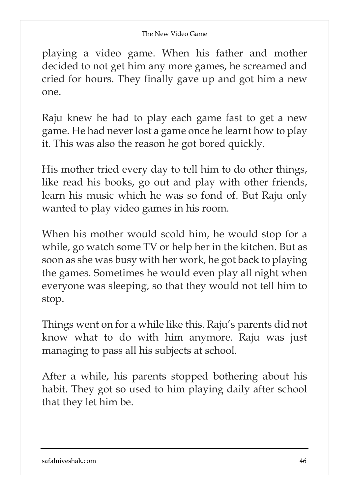#### The New Video Game

playing a video game. When his father and mother decided to not get him any more games, he screamed and cried for hours. They finally gave up and got him a new one.

Raju knew he had to play each game fast to get a new game. He had never lost a game once he learnt how to play it. This was also the reason he got bored quickly.

His mother tried every day to tell him to do other things, like read his books, go out and play with other friends, learn his music which he was so fond of. But Raju only wanted to play video games in his room.

When his mother would scold him, he would stop for a while, go watch some TV or help her in the kitchen. But as soon as she was busy with her work, he got back to playing the games. Sometimes he would even play all night when everyone was sleeping, so that they would not tell him to stop.

Things went on for a while like this. Raju's parents did not know what to do with him anymore. Raju was just managing to pass all his subjects at school.

After a while, his parents stopped bothering about his habit. They got so used to him playing daily after school that they let him be.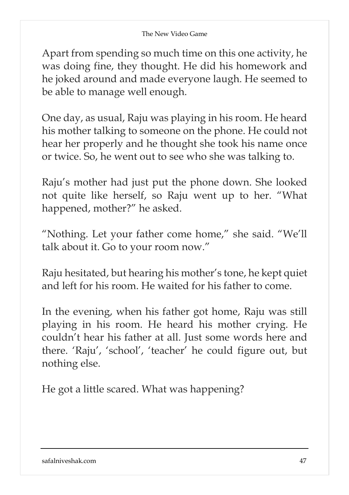Apart from spending so much time on this one activity, he was doing fine, they thought. He did his homework and he joked around and made everyone laugh. He seemed to be able to manage well enough.

One day, as usual, Raju was playing in his room. He heard his mother talking to someone on the phone. He could not hear her properly and he thought she took his name once or twice. So, he went out to see who she was talking to.

Raju's mother had just put the phone down. She looked not quite like herself, so Raju went up to her. "What happened, mother?" he asked.

"Nothing. Let your father come home," she said. "We'll talk about it. Go to your room now."

Raju hesitated, but hearing his mother's tone, he kept quiet and left for his room. He waited for his father to come.

In the evening, when his father got home, Raju was still playing in his room. He heard his mother crying. He couldn't hear his father at all. Just some words here and there. 'Raju', 'school', 'teacher' he could figure out, but nothing else.

He got a little scared. What was happening?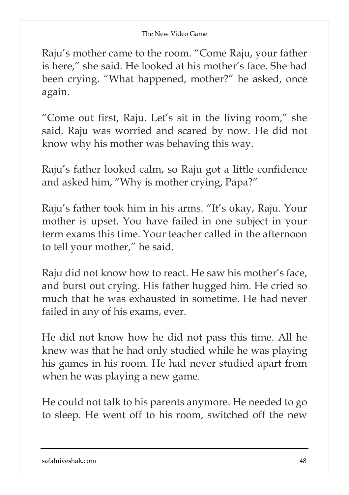Raju's mother came to the room. "Come Raju, your father is here," she said. He looked at his mother's face. She had been crying. "What happened, mother?" he asked, once again.

"Come out first, Raju. Let's sit in the living room," she said. Raju was worried and scared by now. He did not know why his mother was behaving this way.

Raju's father looked calm, so Raju got a little confidence and asked him, "Why is mother crying, Papa?"

Raju's father took him in his arms. "It's okay, Raju. Your mother is upset. You have failed in one subject in your term exams this time. Your teacher called in the afternoon to tell your mother," he said.

Raju did not know how to react. He saw his mother's face, and burst out crying. His father hugged him. He cried so much that he was exhausted in sometime. He had never failed in any of his exams, ever.

He did not know how he did not pass this time. All he knew was that he had only studied while he was playing his games in his room. He had never studied apart from when he was playing a new game.

He could not talk to his parents anymore. He needed to go to sleep. He went off to his room, switched off the new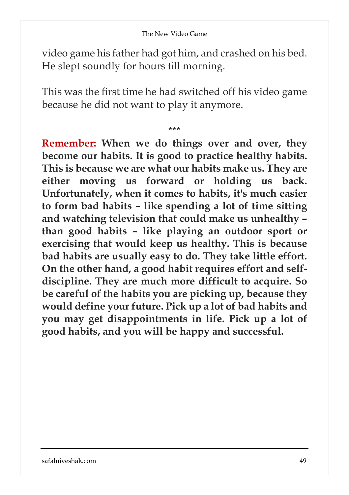video game his father had got him, and crashed on his bed. He slept soundly for hours till morning.

This was the first time he had switched off his video game because he did not want to play it anymore.

\*\*\*

**Remember: When we do things over and over, they become our habits. It is good to practice healthy habits. This is because we are what our habits make us. They are either moving us forward or holding us back. Unfortunately, when it comes to habits, it's much easier to form bad habits – like spending a lot of time sitting and watching television that could make us unhealthy – than good habits – like playing an outdoor sport or exercising that would keep us healthy. This is because bad habits are usually easy to do. They take little effort. On the other hand, a good habit requires effort and selfdiscipline. They are much more difficult to acquire. So be careful of the habits you are picking up, because they would define your future. Pick up a lot of bad habits and you may get disappointments in life. Pick up a lot of good habits, and you will be happy and successful.**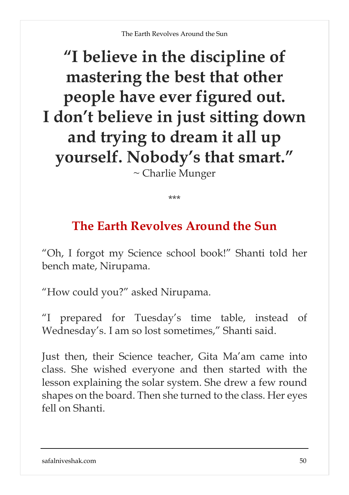## **"I believe in the discipline of mastering the best that other people have ever figured out. I don't believe in just sitting down and trying to dream it all up yourself. Nobody's that smart."** ~ Charlie Munger

\*\*\*

## **The Earth Revolves Around the Sun**

"Oh, I forgot my Science school book!" Shanti told her bench mate, Nirupama.

"How could you?" asked Nirupama.

"I prepared for Tuesday's time table, instead of Wednesday's. I am so lost sometimes," Shanti said.

Just then, their Science teacher, Gita Ma'am came into class. She wished everyone and then started with the lesson explaining the solar system. She drew a few round shapes on the board. Then she turned to the class. Her eyes fell on Shanti.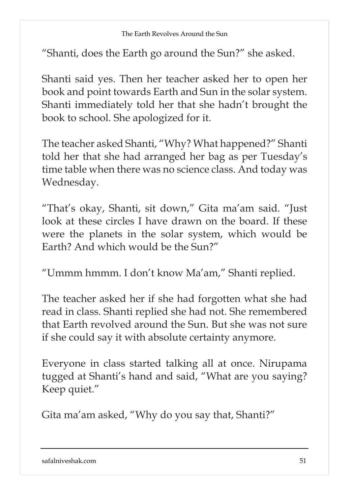"Shanti, does the Earth go around the Sun?" she asked.

Shanti said yes. Then her teacher asked her to open her book and point towards Earth and Sun in the solar system. Shanti immediately told her that she hadn't brought the book to school. She apologized for it.

The teacher asked Shanti, "Why? What happened?" Shanti told her that she had arranged her bag as per Tuesday's time table when there was no science class. And today was Wednesday.

"That's okay, Shanti, sit down," Gita ma'am said. "Just look at these circles I have drawn on the board. If these were the planets in the solar system, which would be Earth? And which would be the Sun?"

"Ummm hmmm. I don't know Ma'am," Shanti replied.

The teacher asked her if she had forgotten what she had read in class. Shanti replied she had not. She remembered that Earth revolved around the Sun. But she was not sure if she could say it with absolute certainty anymore.

Everyone in class started talking all at once. Nirupama tugged at Shanti's hand and said, "What are you saying? Keep quiet."

Gita ma'am asked, "Why do you say that, Shanti?"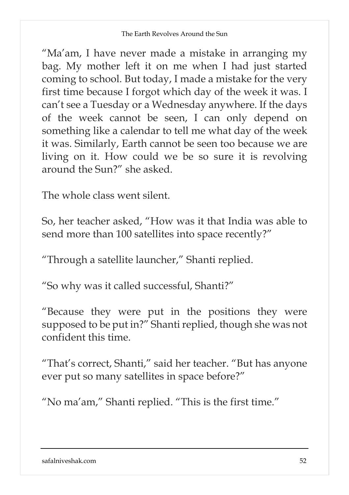"Ma'am, I have never made a mistake in arranging my bag. My mother left it on me when I had just started coming to school. But today, I made a mistake for the very first time because I forgot which day of the week it was. I can't see a Tuesday or a Wednesday anywhere. If the days of the week cannot be seen, I can only depend on something like a calendar to tell me what day of the week it was. Similarly, Earth cannot be seen too because we are living on it. How could we be so sure it is revolving around the Sun?" she asked.

The whole class went silent.

So, her teacher asked, "How was it that India was able to send more than 100 satellites into space recently?"

"Through a satellite launcher," Shanti replied.

"So why was it called successful, Shanti?"

"Because they were put in the positions they were supposed to be put in?" Shanti replied, though she was not confident this time.

"That's correct, Shanti," said her teacher. "But has anyone ever put so many satellites in space before?"

"No ma'am," Shanti replied. "This is the first time."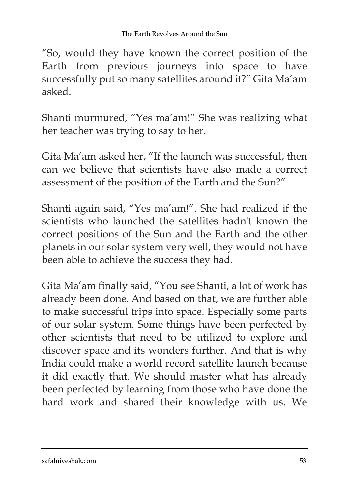"So, would they have known the correct position of the Earth from previous journeys into space to have successfully put so many satellites around it?" Gita Ma'am asked.

Shanti murmured, "Yes ma'am!" She was realizing what her teacher was trying to say to her.

Gita Ma'am asked her, "If the launch was successful, then can we believe that scientists have also made a correct assessment of the position of the Earth and the Sun?"

Shanti again said, "Yes ma'am!". She had realized if the scientists who launched the satellites hadn't known the correct positions of the Sun and the Earth and the other planets in our solar system very well, they would not have been able to achieve the success they had.

Gita Ma'am finally said, "You see Shanti, a lot of work has already been done. And based on that, we are further able to make successful trips into space. Especially some parts of our solar system. Some things have been perfected by other scientists that need to be utilized to explore and discover space and its wonders further. And that is why India could make a world record satellite launch because it did exactly that. We should master what has already been perfected by learning from those who have done the hard work and shared their knowledge with us. We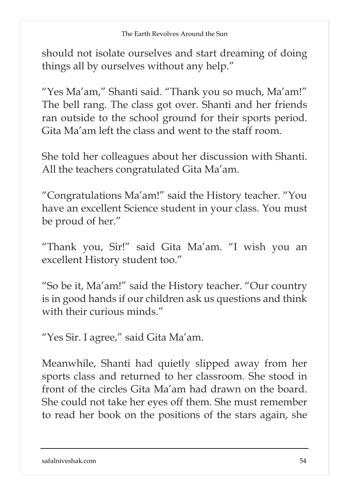should not isolate ourselves and start dreaming of doing things all by ourselves without any help."

"Yes Ma'am," Shanti said. "Thank you so much, Ma'am!" The bell rang. The class got over. Shanti and her friends ran outside to the school ground for their sports period. Gita Ma'am left the class and went to the staff room.

She told her colleagues about her discussion with Shanti. All the teachers congratulated Gita Ma'am.

"Congratulations Ma'am!" said the History teacher. "You have an excellent Science student in your class. You must be proud of her."

"Thank you, Sir!" said Gita Ma'am. "I wish you an excellent History student too."

"So be it, Ma'am!" said the History teacher. "Our country is in good hands if our children ask us questions and think with their curious minds."

"Yes Sir. I agree," said Gita Ma'am.

Meanwhile, Shanti had quietly slipped away from her sports class and returned to her classroom. She stood in front of the circles Gita Ma'am had drawn on the board. She could not take her eyes off them. She must remember to read her book on the positions of the stars again, she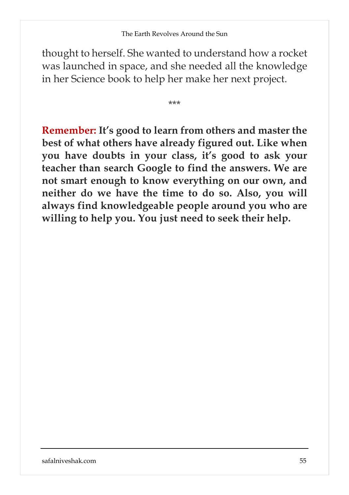thought to herself. She wanted to understand how a rocket was launched in space, and she needed all the knowledge in her Science book to help her make her next project.

\*\*\*

**Remember: It's good to learn from others and master the best of what others have already figured out. Like when you have doubts in your class, it's good to ask your teacher than search Google to find the answers. We are not smart enough to know everything on our own, and neither do we have the time to do so. Also, you will always find knowledgeable people around you who are willing to help you. You just need to seek their help.**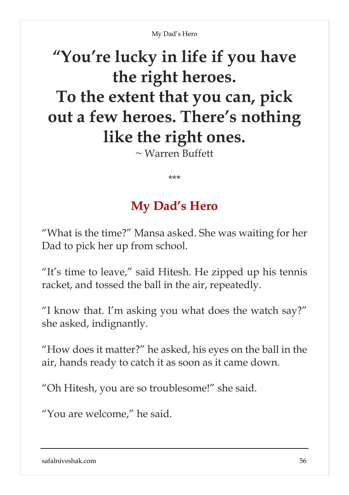# **"You're lucky in life if you have the right heroes. To the extent that you can, pick out a few heroes. There's nothing like the right ones.**

 $\sim$  Warren Buffett

\*\*\*

## **My Dad's Hero**

"What is the time?" Mansa asked. She was waiting for her Dad to pick her up from school.

"It's time to leave," said Hitesh. He zipped up his tennis racket, and tossed the ball in the air, repeatedly.

"I know that. I'm asking you what does the watch say?" she asked, indignantly.

"How does it matter?" he asked, his eyes on the ball in the air, hands ready to catch it as soon as it came down.

"Oh Hitesh, you are so troublesome!" she said.

"You are welcome," he said.

safalniveshak.com 56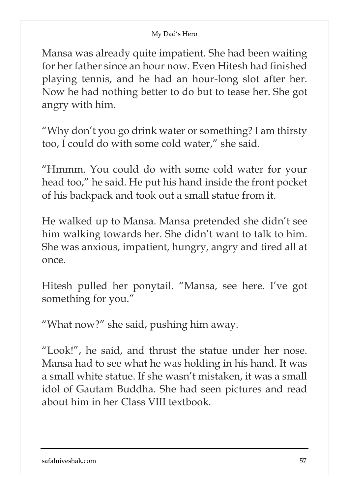Mansa was already quite impatient. She had been waiting for her father since an hour now. Even Hitesh had finished playing tennis, and he had an hour-long slot after her. Now he had nothing better to do but to tease her. She got angry with him.

"Why don't you go drink water or something? I am thirsty too, I could do with some cold water," she said.

"Hmmm. You could do with some cold water for your head too," he said. He put his hand inside the front pocket of his backpack and took out a small statue from it.

He walked up to Mansa. Mansa pretended she didn't see him walking towards her. She didn't want to talk to him. She was anxious, impatient, hungry, angry and tired all at once.

Hitesh pulled her ponytail. "Mansa, see here. I've got something for you."

"What now?" she said, pushing him away.

"Look!", he said, and thrust the statue under her nose. Mansa had to see what he was holding in his hand. It was a small white statue. If she wasn't mistaken, it was a small idol of Gautam Buddha. She had seen pictures and read about him in her Class VIII textbook.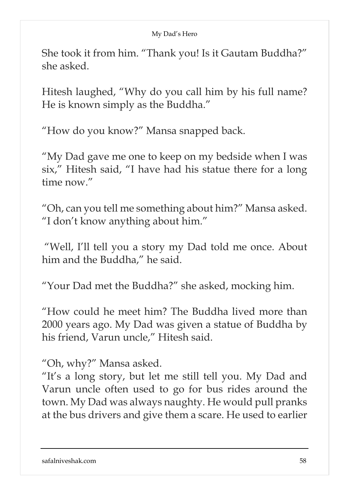She took it from him. "Thank you! Is it Gautam Buddha?" she asked.

Hitesh laughed, "Why do you call him by his full name? He is known simply as the Buddha."

"How do you know?" Mansa snapped back.

"My Dad gave me one to keep on my bedside when I was six," Hitesh said, "I have had his statue there for a long time now."

"Oh, can you tell me something about him?" Mansa asked. "I don't know anything about him."

"Well, I'll tell you a story my Dad told me once. About him and the Buddha," he said.

"Your Dad met the Buddha?" she asked, mocking him.

"How could he meet him? The Buddha lived more than 2000 years ago. My Dad was given a statue of Buddha by his friend, Varun uncle," Hitesh said.

"Oh, why?" Mansa asked.

"It's a long story, but let me still tell you. My Dad and Varun uncle often used to go for bus rides around the town. My Dad was always naughty. He would pull pranks at the bus drivers and give them a scare. He used to earlier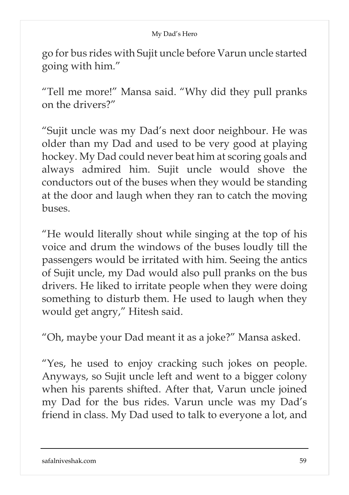go for bus rides with Sujit uncle before Varun uncle started going with him."

"Tell me more!" Mansa said. "Why did they pull pranks on the drivers?"

"Sujit uncle was my Dad's next door neighbour. He was older than my Dad and used to be very good at playing hockey. My Dad could never beat him at scoring goals and always admired him. Sujit uncle would shove the conductors out of the buses when they would be standing at the door and laugh when they ran to catch the moving buses.

"He would literally shout while singing at the top of his voice and drum the windows of the buses loudly till the passengers would be irritated with him. Seeing the antics of Sujit uncle, my Dad would also pull pranks on the bus drivers. He liked to irritate people when they were doing something to disturb them. He used to laugh when they would get angry," Hitesh said.

"Oh, maybe your Dad meant it as a joke?" Mansa asked.

"Yes, he used to enjoy cracking such jokes on people. Anyways, so Sujit uncle left and went to a bigger colony when his parents shifted. After that, Varun uncle joined my Dad for the bus rides. Varun uncle was my Dad's friend in class. My Dad used to talk to everyone a lot, and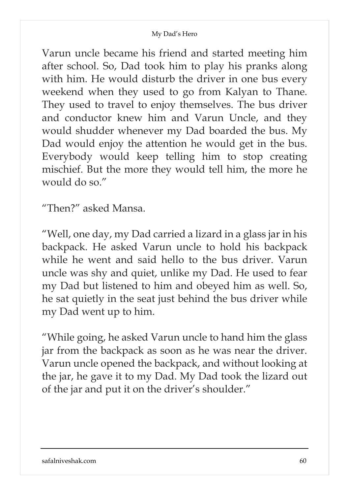Varun uncle became his friend and started meeting him after school. So, Dad took him to play his pranks along with him. He would disturb the driver in one bus every weekend when they used to go from Kalyan to Thane. They used to travel to enjoy themselves. The bus driver and conductor knew him and Varun Uncle, and they would shudder whenever my Dad boarded the bus. My Dad would enjoy the attention he would get in the bus. Everybody would keep telling him to stop creating mischief. But the more they would tell him, the more he would do so."

"Then?" asked Mansa.

"Well, one day, my Dad carried a lizard in a glass jar in his backpack. He asked Varun uncle to hold his backpack while he went and said hello to the bus driver. Varun uncle was shy and quiet, unlike my Dad. He used to fear my Dad but listened to him and obeyed him as well. So, he sat quietly in the seat just behind the bus driver while my Dad went up to him.

"While going, he asked Varun uncle to hand him the glass jar from the backpack as soon as he was near the driver. Varun uncle opened the backpack, and without looking at the jar, he gave it to my Dad. My Dad took the lizard out of the jar and put it on the driver's shoulder."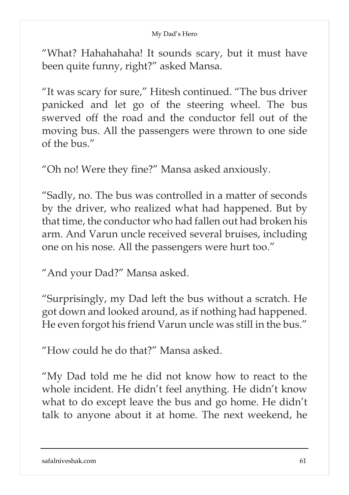"What? Hahahahaha! It sounds scary, but it must have been quite funny, right?" asked Mansa.

"It was scary for sure," Hitesh continued. "The bus driver panicked and let go of the steering wheel. The bus swerved off the road and the conductor fell out of the moving bus. All the passengers were thrown to one side of the bus."

"Oh no! Were they fine?" Mansa asked anxiously.

"Sadly, no. The bus was controlled in a matter of seconds by the driver, who realized what had happened. But by that time, the conductor who had fallen out had broken his arm. And Varun uncle received several bruises, including one on his nose. All the passengers were hurt too."

"And your Dad?" Mansa asked.

"Surprisingly, my Dad left the bus without a scratch. He got down and looked around, as if nothing had happened. He even forgot his friend Varun uncle was still in the bus."

"How could he do that?" Mansa asked.

"My Dad told me he did not know how to react to the whole incident. He didn't feel anything. He didn't know what to do except leave the bus and go home. He didn't talk to anyone about it at home. The next weekend, he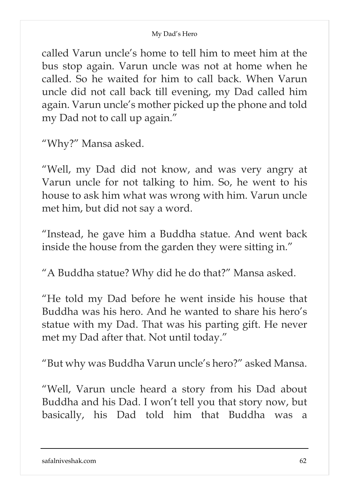called Varun uncle's home to tell him to meet him at the bus stop again. Varun uncle was not at home when he called. So he waited for him to call back. When Varun uncle did not call back till evening, my Dad called him again. Varun uncle's mother picked up the phone and told my Dad not to call up again."

"Why?" Mansa asked.

"Well, my Dad did not know, and was very angry at Varun uncle for not talking to him. So, he went to his house to ask him what was wrong with him. Varun uncle met him, but did not say a word.

"Instead, he gave him a Buddha statue. And went back inside the house from the garden they were sitting in."

"A Buddha statue? Why did he do that?" Mansa asked.

"He told my Dad before he went inside his house that Buddha was his hero. And he wanted to share his hero's statue with my Dad. That was his parting gift. He never met my Dad after that. Not until today."

"But why was Buddha Varun uncle's hero?" asked Mansa.

"Well, Varun uncle heard a story from his Dad about Buddha and his Dad. I won't tell you that story now, but basically, his Dad told him that Buddha was a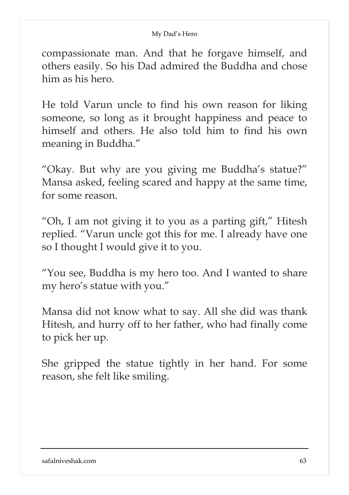compassionate man. And that he forgave himself, and others easily. So his Dad admired the Buddha and chose him as his hero.

He told Varun uncle to find his own reason for liking someone, so long as it brought happiness and peace to himself and others. He also told him to find his own meaning in Buddha."

"Okay. But why are you giving me Buddha's statue?" Mansa asked, feeling scared and happy at the same time, for some reason.

"Oh, I am not giving it to you as a parting gift," Hitesh replied. "Varun uncle got this for me. I already have one so I thought I would give it to you.

"You see, Buddha is my hero too. And I wanted to share my hero's statue with you."

Mansa did not know what to say. All she did was thank Hitesh, and hurry off to her father, who had finally come to pick her up.

She gripped the statue tightly in her hand. For some reason, she felt like smiling.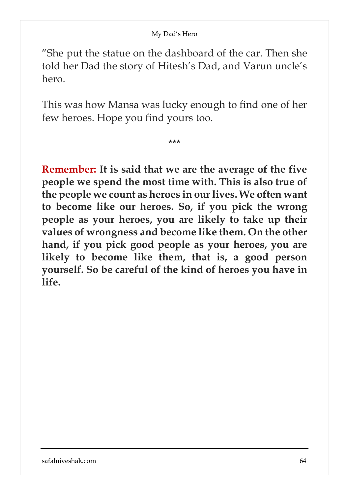"She put the statue on the dashboard of the car. Then she told her Dad the story of Hitesh's Dad, and Varun uncle's hero.

This was how Mansa was lucky enough to find one of her few heroes. Hope you find yours too.

\*\*\*

**Remember: It is said that we are the average of the five people we spend the most time with. This is also true of the people we count as heroes in ourlives. We often want to become like our heroes. So, if you pick the wrong people as your heroes, you are likely to take up their values of wrongness and become like them. On the other hand, if you pick good people as your heroes, you are likely to become like them, that is, a good person yourself. So be careful of the kind of heroes you have in life.**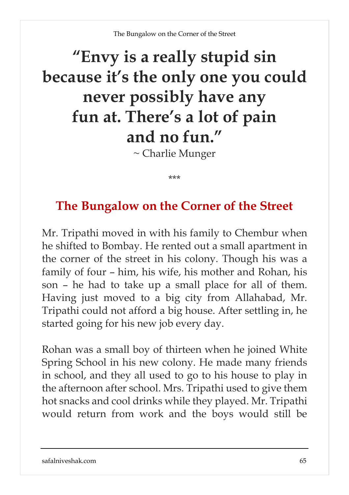# **"Envy is a really stupid sin because it's the only one you could never possibly have any fun at. There's a lot of pain and no fun."**

~ Charlie Munger

\*\*\*

## **The Bungalow on the Corner of the Street**

Mr. Tripathi moved in with his family to Chembur when he shifted to Bombay. He rented out a small apartment in the corner of the street in his colony. Though his was a family of four – him, his wife, his mother and Rohan, his son – he had to take up a small place for all of them. Having just moved to a big city from Allahabad, Mr. Tripathi could not afford a big house. After settling in, he started going for his new job every day.

Rohan was a small boy of thirteen when he joined White Spring School in his new colony. He made many friends in school, and they all used to go to his house to play in the afternoon after school. Mrs. Tripathi used to give them hot snacks and cool drinks while they played. Mr. Tripathi would return from work and the boys would still be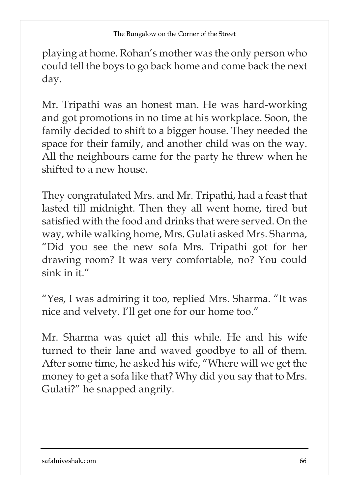playing at home. Rohan's mother was the only person who could tell the boys to go back home and come back the next day.

Mr. Tripathi was an honest man. He was hard-working and got promotions in no time at his workplace. Soon, the family decided to shift to a bigger house. They needed the space for their family, and another child was on the way. All the neighbours came for the party he threw when he shifted to a new house.

They congratulated Mrs. and Mr. Tripathi, had a feast that lasted till midnight. Then they all went home, tired but satisfied with the food and drinks that were served. On the way, while walking home, Mrs. Gulati asked Mrs. Sharma, "Did you see the new sofa Mrs. Tripathi got for her drawing room? It was very comfortable, no? You could sink in it."

"Yes, I was admiring it too, replied Mrs. Sharma. "It was nice and velvety. I'll get one for our home too."

Mr. Sharma was quiet all this while. He and his wife turned to their lane and waved goodbye to all of them. After some time, he asked his wife, "Where will we get the money to get a sofa like that? Why did you say that to Mrs. Gulati?" he snapped angrily.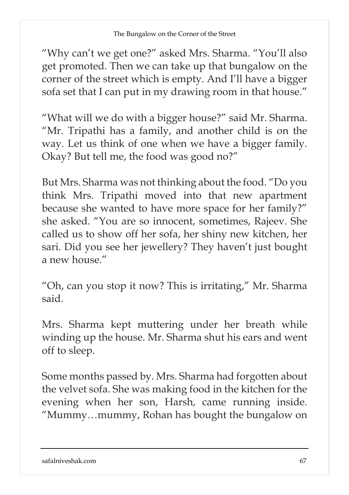"Why can't we get one?" asked Mrs. Sharma. "You'll also get promoted. Then we can take up that bungalow on the corner of the street which is empty. And I'll have a bigger sofa set that I can put in my drawing room in that house."

"What will we do with a bigger house?" said Mr. Sharma. "Mr. Tripathi has a family, and another child is on the way. Let us think of one when we have a bigger family. Okay? But tell me, the food was good no?"

But Mrs. Sharma was not thinking about the food. "Do you think Mrs. Tripathi moved into that new apartment because she wanted to have more space for her family?" she asked. "You are so innocent, sometimes, Rajeev. She called us to show off her sofa, her shiny new kitchen, her sari. Did you see her jewellery? They haven't just bought a new house."

"Oh, can you stop it now? This is irritating," Mr. Sharma said.

Mrs. Sharma kept muttering under her breath while winding up the house. Mr. Sharma shut his ears and went off to sleep.

Some months passed by. Mrs. Sharma had forgotten about the velvet sofa. She was making food in the kitchen for the evening when her son, Harsh, came running inside. "Mummy…mummy, Rohan has bought the bungalow on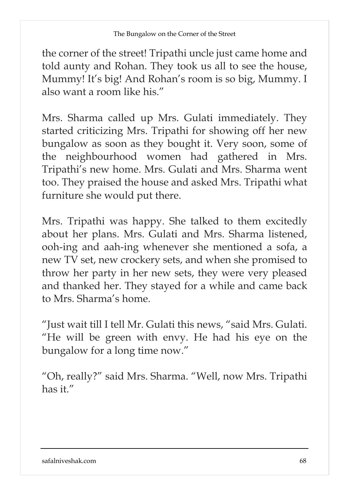the corner of the street! Tripathi uncle just came home and told aunty and Rohan. They took us all to see the house, Mummy! It's big! And Rohan's room is so big, Mummy. I also want a room like his."

Mrs. Sharma called up Mrs. Gulati immediately. They started criticizing Mrs. Tripathi for showing off her new bungalow as soon as they bought it. Very soon, some of the neighbourhood women had gathered in Mrs. Tripathi's new home. Mrs. Gulati and Mrs. Sharma went too. They praised the house and asked Mrs. Tripathi what furniture she would put there.

Mrs. Tripathi was happy. She talked to them excitedly about her plans. Mrs. Gulati and Mrs. Sharma listened, ooh-ing and aah-ing whenever she mentioned a sofa, a new TV set, new crockery sets, and when she promised to throw her party in her new sets, they were very pleased and thanked her. They stayed for a while and came back to Mrs. Sharma's home.

"Just wait till I tell Mr. Gulati this news, "said Mrs. Gulati. "He will be green with envy. He had his eye on the bungalow for a long time now."

"Oh, really?" said Mrs. Sharma. "Well, now Mrs. Tripathi has it."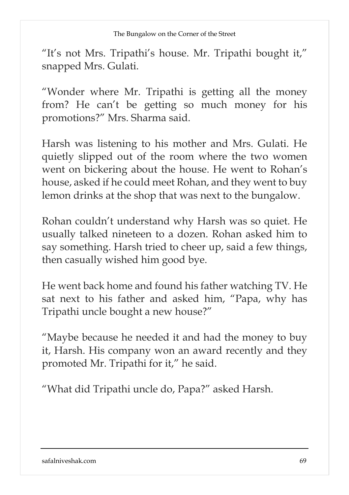"It's not Mrs. Tripathi's house. Mr. Tripathi bought it," snapped Mrs. Gulati.

"Wonder where Mr. Tripathi is getting all the money from? He can't be getting so much money for his promotions?" Mrs. Sharma said.

Harsh was listening to his mother and Mrs. Gulati. He quietly slipped out of the room where the two women went on bickering about the house. He went to Rohan's house, asked if he could meet Rohan, and they went to buy lemon drinks at the shop that was next to the bungalow.

Rohan couldn't understand why Harsh was so quiet. He usually talked nineteen to a dozen. Rohan asked him to say something. Harsh tried to cheer up, said a few things, then casually wished him good bye.

He went back home and found his father watching TV. He sat next to his father and asked him, "Papa, why has Tripathi uncle bought a new house?"

"Maybe because he needed it and had the money to buy it, Harsh. His company won an award recently and they promoted Mr. Tripathi for it," he said.

"What did Tripathi uncle do, Papa?" asked Harsh.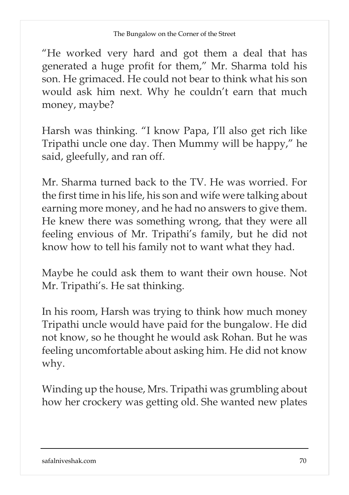"He worked very hard and got them a deal that has generated a huge profit for them," Mr. Sharma told his son. He grimaced. He could not bear to think what his son would ask him next. Why he couldn't earn that much money, maybe?

Harsh was thinking. "I know Papa, I'll also get rich like Tripathi uncle one day. Then Mummy will be happy," he said, gleefully, and ran off.

Mr. Sharma turned back to the TV. He was worried. For the first time in his life, his son and wife were talking about earning more money, and he had no answers to give them. He knew there was something wrong, that they were all feeling envious of Mr. Tripathi's family, but he did not know how to tell his family not to want what they had.

Maybe he could ask them to want their own house. Not Mr. Tripathi's. He sat thinking.

In his room, Harsh was trying to think how much money Tripathi uncle would have paid for the bungalow. He did not know, so he thought he would ask Rohan. But he was feeling uncomfortable about asking him. He did not know why.

Winding up the house, Mrs. Tripathi was grumbling about how her crockery was getting old. She wanted new plates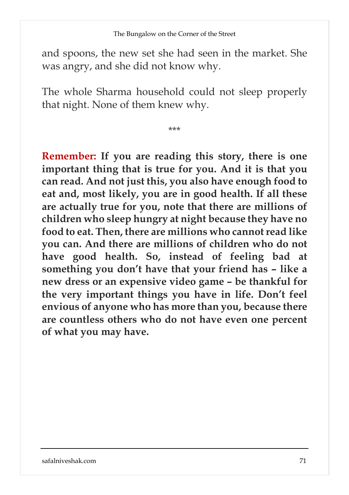and spoons, the new set she had seen in the market. She was angry, and she did not know why.

The whole Sharma household could not sleep properly that night. None of them knew why.

\*\*\*

**Remember: If you are reading this story, there is one important thing that is true for you. And it is that you can read. And not just this, you also have enough food to eat and, most likely, you are in good health. If all these are actually true for you, note that there are millions of children who sleep hungry at night because they have no food to eat. Then, there are millions who cannot read like you can. And there are millions of children who do not have good health. So, instead of feeling bad at something you don't have that your friend has – like a new dress or an expensive video game – be thankful for the very important things you have in life. Don't feel envious of anyone who has more than you, because there are countless others who do not have even one percent of what you may have.**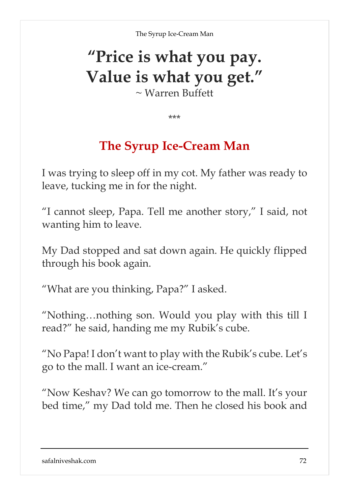# **"Price is what you pay. Value is what you get."**

~ Warren Buffett

\*\*\*

## **The Syrup Ice-Cream Man**

I was trying to sleep off in my cot. My father was ready to leave, tucking me in for the night.

"I cannot sleep, Papa. Tell me another story," I said, not wanting him to leave.

My Dad stopped and sat down again. He quickly flipped through his book again.

"What are you thinking, Papa?" I asked.

"Nothing…nothing son. Would you play with this till I read?" he said, handing me my Rubik's cube.

"No Papa! I don't want to play with the Rubik's cube. Let's go to the mall. I want an ice-cream."

"Now Keshav? We can go tomorrow to the mall. It's your bed time," my Dad told me. Then he closed his book and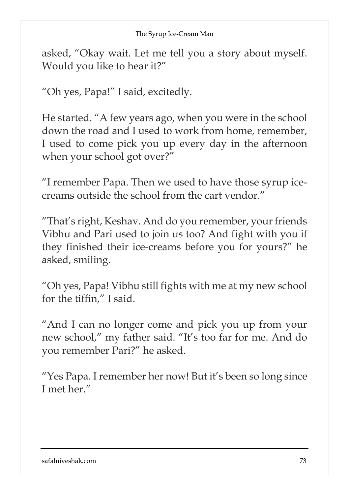asked, "Okay wait. Let me tell you a story about myself. Would you like to hear it?"

"Oh yes, Papa!" I said, excitedly.

He started. "A few years ago, when you were in the school down the road and I used to work from home, remember, I used to come pick you up every day in the afternoon when your school got over?"

"I remember Papa. Then we used to have those syrup icecreams outside the school from the cart vendor."

"That's right, Keshav. And do you remember, your friends Vibhu and Pari used to join us too? And fight with you if they finished their ice-creams before you for yours?" he asked, smiling.

"Oh yes, Papa! Vibhu still fights with me at my new school for the tiffin," I said.

"And I can no longer come and pick you up from your new school," my father said. "It's too far for me. And do you remember Pari?" he asked.

"Yes Papa. I remember her now! But it's been so long since I met her."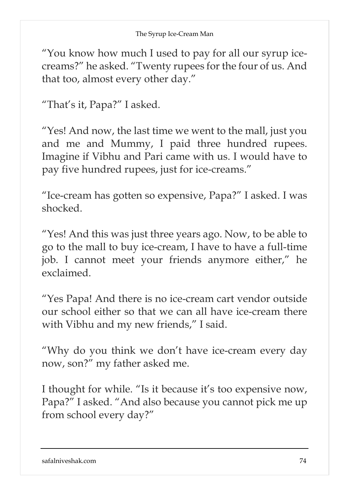"You know how much I used to pay for all our syrup icecreams?" he asked. "Twenty rupees for the four of us. And that too, almost every other day."

"That's it, Papa?" I asked.

"Yes! And now, the last time we went to the mall, just you and me and Mummy, I paid three hundred rupees. Imagine if Vibhu and Pari came with us. I would have to pay five hundred rupees, just for ice-creams."

"Ice-cream has gotten so expensive, Papa?" I asked. I was shocked.

"Yes! And this was just three years ago. Now, to be able to go to the mall to buy ice-cream, I have to have a full-time job. I cannot meet your friends anymore either," he exclaimed.

"Yes Papa! And there is no ice-cream cart vendor outside our school either so that we can all have ice-cream there with Vibhu and my new friends," I said.

"Why do you think we don't have ice-cream every day now, son?" my father asked me.

I thought for while. "Is it because it's too expensive now, Papa?" I asked. "And also because you cannot pick me up from school every day?"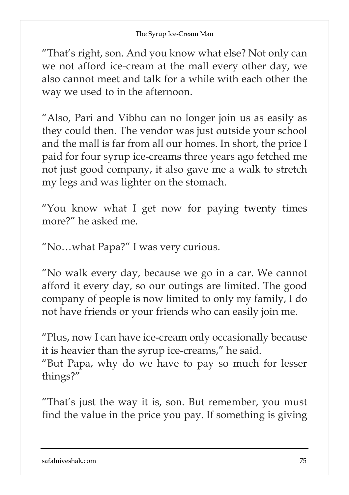## The Syrup Ice-Cream Man

"That's right, son. And you know what else? Not only can we not afford ice-cream at the mall every other day, we also cannot meet and talk for a while with each other the way we used to in the afternoon.

"Also, Pari and Vibhu can no longer join us as easily as they could then. The vendor was just outside your school and the mall is far from all our homes. In short, the price I paid for four syrup ice-creams three years ago fetched me not just good company, it also gave me a walk to stretch my legs and was lighter on the stomach.

"You know what I get now for paying twenty times more?" he asked me.

"No…what Papa?" I was very curious.

"No walk every day, because we go in a car. We cannot afford it every day, so our outings are limited. The good company of people is now limited to only my family, I do not have friends or your friends who can easily join me.

"Plus, now I can have ice-cream only occasionally because it is heavier than the syrup ice-creams," he said.

"But Papa, why do we have to pay so much for lesser things?"

"That's just the way it is, son. But remember, you must find the value in the price you pay. If something is giving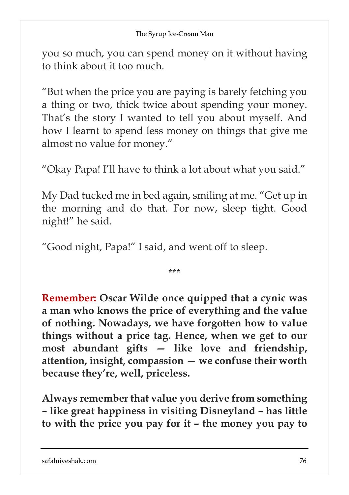you so much, you can spend money on it without having to think about it too much.

"But when the price you are paying is barely fetching you a thing or two, thick twice about spending your money. That's the story I wanted to tell you about myself. And how I learnt to spend less money on things that give me almost no value for money."

"Okay Papa! I'll have to think a lot about what you said."

My Dad tucked me in bed again, smiling at me. "Get up in the morning and do that. For now, sleep tight. Good night!" he said.

"Good night, Papa!" I said, and went off to sleep.

\*\*\*

**Remember: Oscar Wilde once quipped that a cynic was a man who knows the price of everything and the value of nothing. Nowadays, we have forgotten how to value things without a price tag. Hence, when we get to our most abundant gifts — like love and friendship, attention, insight, compassion — we confuse their worth because they're, well, priceless.**

**Always remember that value you derive from something – like great happiness in visiting Disneyland – has little to with the price you pay for it – the money you pay to**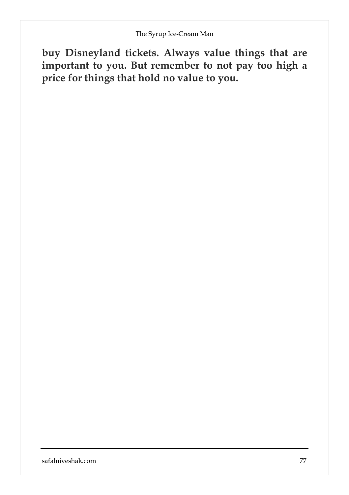**buy Disneyland tickets. Always value things that are important to you. But remember to not pay too high a price for things that hold no value to you.**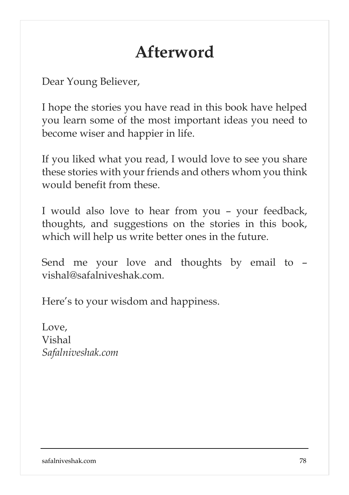## **Afterword**

Dear Young Believer,

I hope the stories you have read in this book have helped you learn some of the most important ideas you need to become wiser and happier in life.

If you liked what you read, I would love to see you share these stories with your friends and others whom you think would benefit from these.

I would also love to hear from you – your feedback, thoughts, and suggestions on the stories in this book, which will help us write better ones in the future.

Send me your love and thoughts by email to – vishal@safalniveshak.com.

Here's to your wisdom and happiness.

Love, Vishal *Safalniveshak.com*